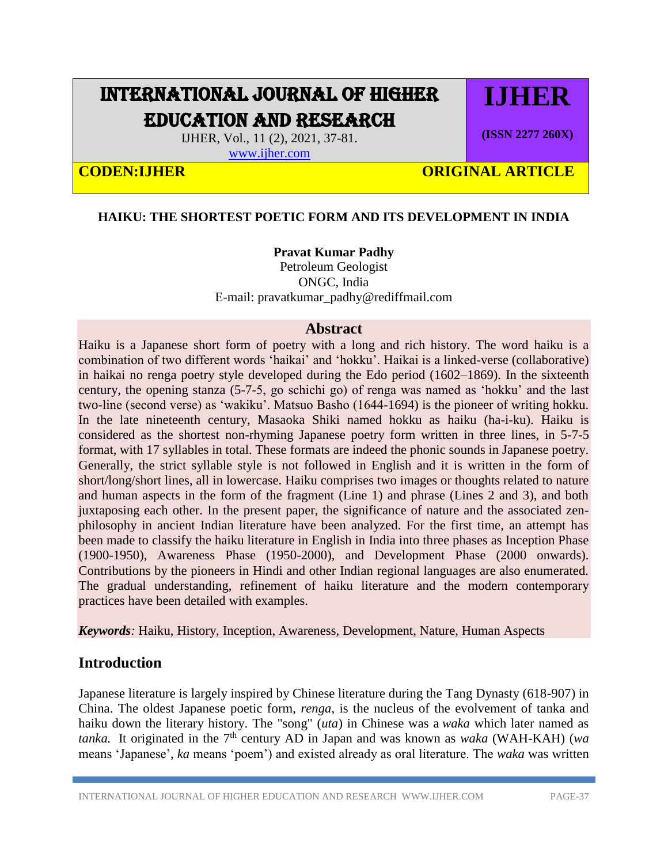# INTERNATIONAL JOURNAL OF HIGHER EDUCATION AND RESEARCH

IJHER, Vol., 11 (2), 2021, 37-81.

[www.ijher.com](http://www.ijher.com/)

# **CODEN:LIHER CODEN:LIHER** ORIGINAL ARTICLE

#### **HAIKU: THE SHORTEST POETIC FORM AND ITS DEVELOPMENT IN INDIA**

#### **Pravat Kumar Padhy**

Petroleum Geologist ONGC, India E-mail: [pravatkumar\\_padhy@rediffmail.com](mailto:pravatkumar_padhy@rediffmail.com)

#### **Abstract**

Haiku is a Japanese short form of poetry with a long and rich history. The word haiku is a combination of two different words 'haikai' and 'hokku'. Haikai is a linked-verse (collaborative) in haikai no renga poetry style developed during the Edo period (1602–1869). In the sixteenth century, the opening stanza (5-7-5, go schichi go) of renga was named as 'hokku' and the last two-line (second verse) as 'wakiku'. Matsuo Basho (1644-1694) is the pioneer of writing hokku. In the late nineteenth century, Masaoka Shiki named hokku as haiku (ha-i-ku). Haiku is considered as the shortest non-rhyming Japanese poetry form written in three lines, in 5-7-5 format, with 17 syllables in total. These formats are indeed the phonic sounds in Japanese poetry. Generally, the strict syllable style is not followed in English and it is written in the form of short/long/short lines, all in lowercase. Haiku comprises two images or thoughts related to nature and human aspects in the form of the fragment (Line 1) and phrase (Lines 2 and 3), and both juxtaposing each other. In the present paper, the significance of nature and the associated zenphilosophy in ancient Indian literature have been analyzed. For the first time, an attempt has been made to classify the haiku literature in English in India into three phases as Inception Phase (1900-1950), Awareness Phase (1950-2000), and Development Phase (2000 onwards). Contributions by the pioneers in Hindi and other Indian regional languages are also enumerated. The gradual understanding, refinement of haiku literature and the modern contemporary practices have been detailed with examples.

*Keywords:* Haiku, History, Inception, Awareness, Development, Nature, Human Aspects

### **Introduction**

Japanese literature is largely inspired by Chinese literature during the Tang Dynasty (618-907) in China. The oldest Japanese poetic form, *renga*, is the nucleus of the evolvement of tanka and haiku down the literary history. The "song" (*uta*) in Chinese was a *waka* which later named as *tanka.* It originated in the 7<sup>th</sup> century AD in Japan and was known as *waka* (WAH-KAH) (*wa* means 'Japanese'*, ka* means 'poem') and existed already as oral literature. The *waka* was written

**IJHER**

**(ISSN 2277 260X)**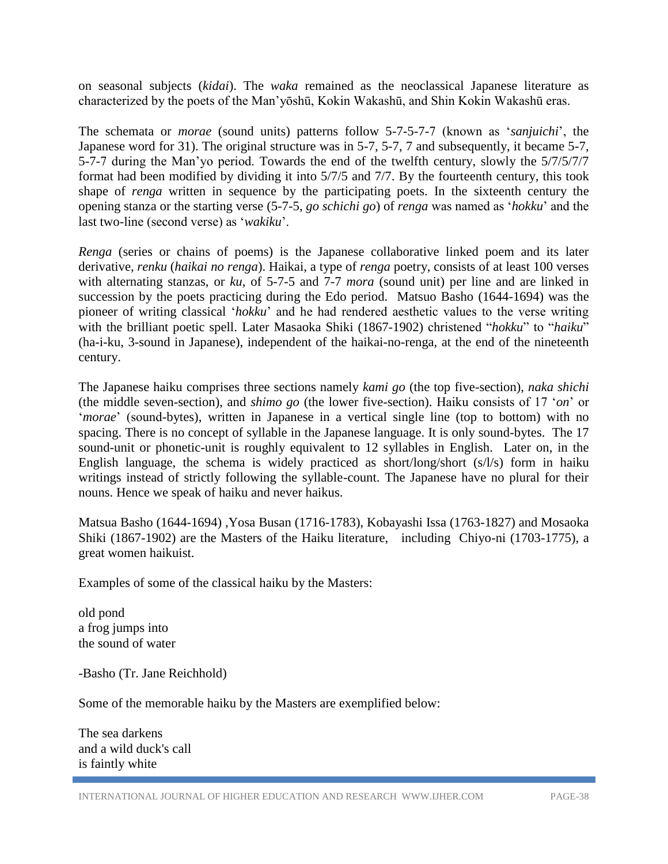on seasonal subjects (*kidai*). The *waka* remained as the neoclassical Japanese literature as characterized by the poets of the Man'yōshū, Kokin Wakashū, and Shin Kokin Wakashū eras.

The schemata or *morae* (sound units) patterns follow 5-7-5-7-7 (known as '*sanjuichi*', the Japanese word for 31). The original structure was in 5-7, 5-7, 7 and subsequently, it became 5-7, 5-7-7 during the Man'yo period. Towards the end of the twelfth century, slowly the 5/7/5/7/7 format had been modified by dividing it into 5/7/5 and 7/7. By the fourteenth century, this took shape of *renga* written in sequence by the participating poets. In the sixteenth century the opening stanza or the starting verse (5-7-5, *go schichi go*) of *renga* was named as '*hokku*' and the last two-line (second verse) as '*wakiku*'.

*Renga* (series or chains of poems) is the Japanese collaborative linked poem and its later derivative, *[renku](https://en.wikipedia.org/wiki/Renku)* (*haikai no renga*). Haikai, a type of *renga* poetry, consists of at least 100 verses with alternating stanzas, or *ku*, of 5-7-5 and 7-7 *mora* (sound unit) per line and are linked in succession by the poets practicing during the Edo period. Matsuo Basho (1644-1694) was the pioneer of writing classical '*hokku*' and he had rendered aesthetic values to the verse writing with the brilliant poetic spell. Later Masaoka Shiki (1867-1902) christened "*hokku*" to "*haiku*" (ha-i-ku, 3-sound in Japanese), independent of the haikai-no-renga, at the end of the nineteenth century.

The Japanese haiku comprises three sections namely *kami go* (the top five-section), *naka shichi* (the middle seven-section), and *shimo go* (the lower five-section). Haiku consists of 17 '*on*' or '*morae*' (sound-bytes), written in Japanese in a vertical single line (top to bottom) with no spacing. There is no concept of syllable in the Japanese language. It is only sound-bytes. The 17 sound-unit or phonetic-unit is roughly equivalent to 12 syllables in English. Later on, in the English language, the schema is widely practiced as short/long/short (s/l/s) form in haiku writings instead of strictly following the syllable-count. The Japanese have no plural for their nouns. Hence we speak of haiku and never haikus.

Matsua Basho (1644-1694) ,Yosa Busan (1716-1783), Kobayashi Issa (1763-1827) and Mosaoka Shiki (1867-1902) are the Masters of the Haiku literature, including Chiyo-ni (1703-1775), a great women haikuist.

Examples of some of the classical haiku by the Masters:

old pond a frog jumps into the sound of water

-Basho (Tr. Jane Reichhold)

Some of the memorable haiku by the Masters are exemplified below:

The sea darkens and a wild duck's call is faintly white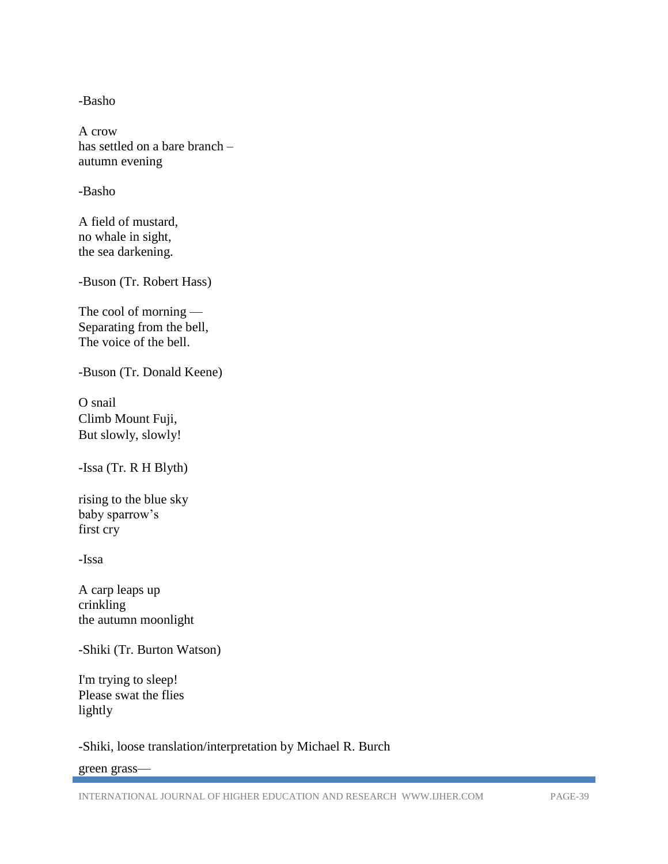-Basho

A crow has settled on a bare branch – autumn evening

-Basho

A field of mustard, no whale in sight, the sea darkening.

-Buson (Tr. Robert Hass)

The cool of morning — Separating from the bell, The voice of the bell.

-Buson (Tr. Donald Keene)

O snail Climb Mount Fuji, But slowly, slowly!

-Issa (Tr. R H Blyth)

rising to the blue sky baby sparrow's first cry

-Issa

A carp leaps up crinkling the autumn moonlight

-Shiki (Tr. Burton [Watson\)](http://www.baymoon.com/~ariadne/poets/shiki.haiku.htm#collected.watson)

I'm trying to sleep! Please swat the flies lightly

-Shiki, loose translation/interpretation by [Michael R. Burch](http://www.thehypertexts.com/Michael_R_Burch_Poet_Poetry_Picture_Bio.htm)

green grass—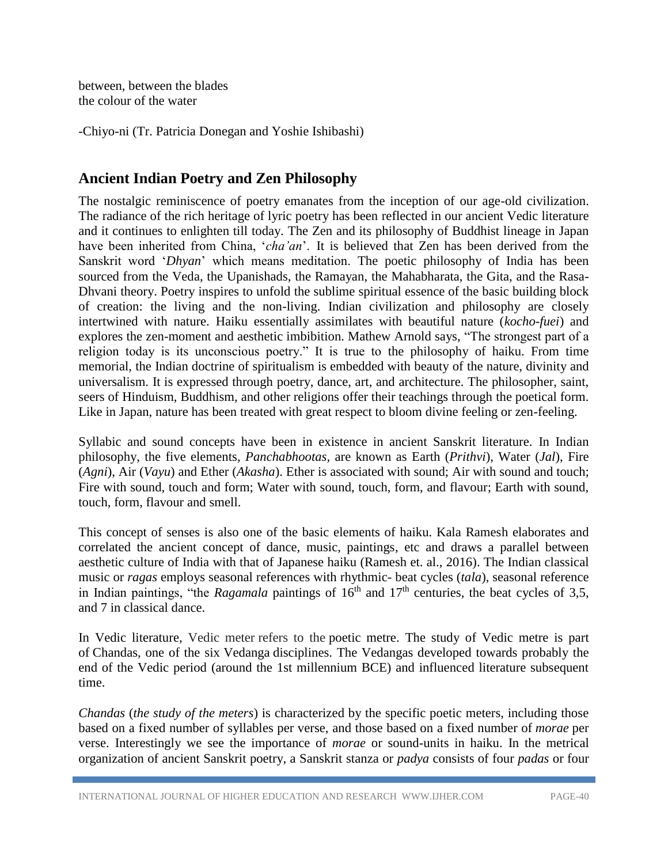between, between the blades the colour of the water

-Chiyo-ni (Tr. Patricia Donegan and Yoshie Ishibashi)

# **Ancient Indian Poetry and Zen Philosophy**

The nostalgic reminiscence of poetry emanates from the inception of our age-old civilization. The radiance of the rich heritage of lyric poetry has been reflected in our ancient Vedic literature and it continues to enlighten till today. The Zen and its philosophy of Buddhist lineage in Japan have been inherited from China, '*cha'an*'. It is believed that Zen has been derived from the Sanskrit word '*Dhyan*' which means meditation. The poetic philosophy of India has been sourced from the Veda, the Upanishads, the Ramayan, the Mahabharata, the Gita, and the Rasa-Dhvani theory. Poetry inspires to unfold the sublime spiritual essence of the basic building block of creation: the living and the non-living. Indian civilization and philosophy are closely intertwined with nature. Haiku essentially assimilates with beautiful nature (*kocho-fuei*) and explores the zen-moment and aesthetic imbibition. Mathew Arnold says, "The strongest part of a religion today is its unconscious poetry." It is true to the philosophy of haiku. From time memorial, the Indian doctrine of spiritualism is embedded with beauty of the nature, divinity and universalism. It is expressed through poetry, dance, art, and architecture. The philosopher, saint, seers of Hinduism, Buddhism, and other religions offer their teachings through the poetical form. Like in Japan, nature has been treated with great respect to bloom divine feeling or zen-feeling.

Syllabic and sound concepts have been in existence in ancient Sanskrit literature. In Indian philosophy, the five elements, *Panchabhootas,* are known as Earth (*Prithvi*), Water (*Jal*), Fire (*Agni*), Air (*Vayu*) and Ether (*Akasha*). Ether is associated with sound; Air with sound and touch; Fire with sound, touch and form; Water with sound, touch, form, and flavour; Earth with sound, touch, form, flavour and smell.

This concept of senses is also one of the basic elements of haiku. Kala Ramesh elaborates and correlated the ancient concept of dance, music, paintings, etc and draws a parallel between aesthetic culture of India with that of Japanese haiku (Ramesh et. al., 2016). The Indian classical music or *ragas* employs seasonal references with rhythmic- beat cycles (*tala*), seasonal reference in Indian paintings, "the *Ragamala* paintings of 16<sup>th</sup> and 17<sup>th</sup> centuries, the beat cycles of 3,5, and 7 in classical dance.

In Vedic literature, Vedic meter refers to the [poetic metre.](https://en.wikipedia.org/wiki/Metre_(poetry)) The study of Vedic metre is part of [Chandas,](https://en.wikipedia.org/wiki/Chandas) one of the six [Vedanga](https://en.wikipedia.org/wiki/Vedanga) disciplines. The Vedangas developed towards probably the end of the Vedic period (around the 1st millennium BCE) and influenced literature subsequent time.

*Chandas* (*the study of the meters*) is characterized by the specific poetic meters, including those based on a fixed number of syllables per verse, and those based on a fixed number of *[morae](https://en.wikipedia.org/wiki/Morae)* per verse. Interestingly we see the importance of *morae* or sound-units in haiku. In the metrical organization of ancient Sanskrit poetry, a Sanskrit stanza or *padya* consists of four *padas* or four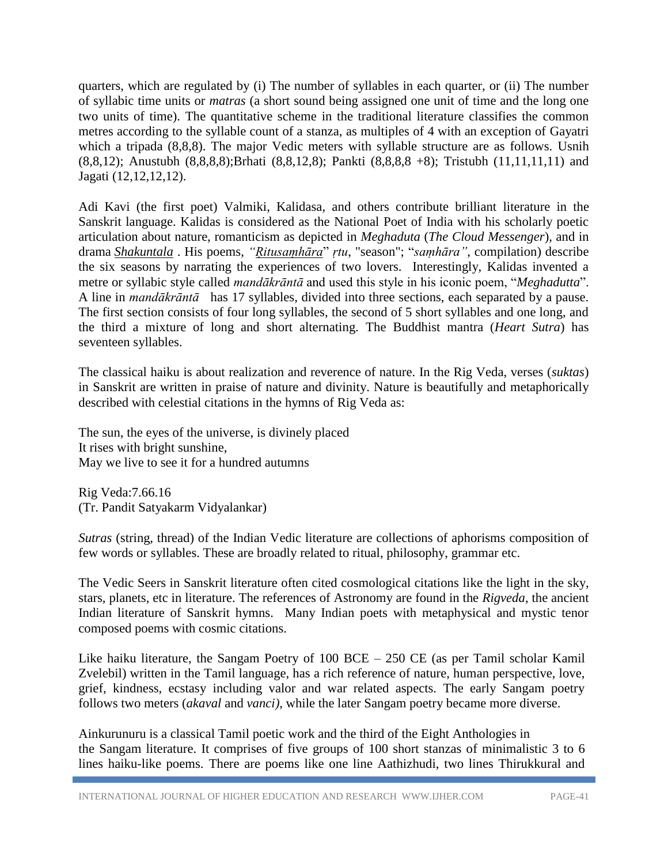quarters, which are regulated by (i) The number of syllables in each quarter, or (ii) The number of syllabic time units or *matras* (a short sound being assigned one unit of time and the long one two units of time). The quantitative scheme in the traditional literature classifies the common metres according to the syllable count of a stanza, as multiples of 4 with an exception of Gayatri which a tripada (8,8,8). The major Vedic meters with syllable structure are as follows. Usnih (8,8,12); Anustubh (8,8,8,8);Brhati (8,8,12,8); Pankti (8,8,8,8 +8); Tristubh (11,11,11,11) and Jagati (12,12,12,12).

Adi Kavi (the first poet) Valmiki, Kalidasa, and others contribute brilliant literature in the Sanskrit language. Kalidas is considered as the National Poet of India with his scholarly poetic articulation about nature, romanticism as depicted in *Meghaduta* (*The Cloud Messenger*)*,* and in drama *[Shakuntala](https://en.wikipedia.org/wiki/Abhij%C3%B1%C4%81na%C5%9B%C4%81kuntalam)* . His poems, *["Ṛitusaṃhāra](https://en.wikipedia.org/wiki/%E1%B9%9Aitusa%E1%B9%83h%C4%81ra)*" *ṛtu*, "season"; "*saṃhāra"*, compilation) describe the six seasons by narrating the experiences of two lovers. Interestingly, Kalidas invented a metre or syllabic style called *mandākrāntā* and used this style in his iconic poem, "*Meghadutta*". A line in *mandākrāntā* has 17 syllables, divided into three sections, each separated by a pause. The first section consists of four long syllables, the second of 5 short syllables and one long, and the third a mixture of long and short alternating. The Buddhist mantra (*Heart Sutra*) has seventeen syllables.

The classical haiku is about realization and reverence of nature. In the Rig Veda, verses (*suktas*) in Sanskrit are written in praise of nature and divinity. Nature is beautifully and metaphorically described with celestial citations in the hymns of Rig Veda as:

The sun, the eyes of the universe, is divinely placed It rises with bright sunshine, May we live to see it for a hundred autumns

Rig Veda:7.66.16 (Tr. Pandit Satyakarm Vidyalankar)

*Sutras* (string, thread) of the Indian Vedic literature are collections of aphorisms composition of few words or syllables. These are broadly related to ritual, philosophy, grammar etc.

The Vedic Seers in Sanskrit literature often cited cosmological citations like the light in the sky, stars, planets, etc in literature. The references of Astronomy are found in the *Rigveda*, the ancient Indian literature of Sanskrit hymns. Many Indian poets with metaphysical and mystic tenor composed poems with cosmic citations.

Like haiku literature, the Sangam Poetry of 100 BCE – 250 CE (as per Tamil scholar [Kamil](https://en.wikipedia.org/wiki/Kamil_Zvelebil)  [Zvelebil\)](https://en.wikipedia.org/wiki/Kamil_Zvelebil) written in the Tamil language, has a rich reference of nature, human perspective, love, grief, kindness, ecstasy including valor and war related aspects. The early Sangam poetry follows two meters (*akaval* and *vanci)*, while the later Sangam poetry became more diverse.

Ainkurunuru is a classical Tamil poetic work and the third of the Eight Anthologies in the Sangam literature. It comprises of five groups of 100 short stanzas of minimalistic 3 to 6 lines haiku-like poems. There are poems like one line Aathizhudi, two lines Thirukkural and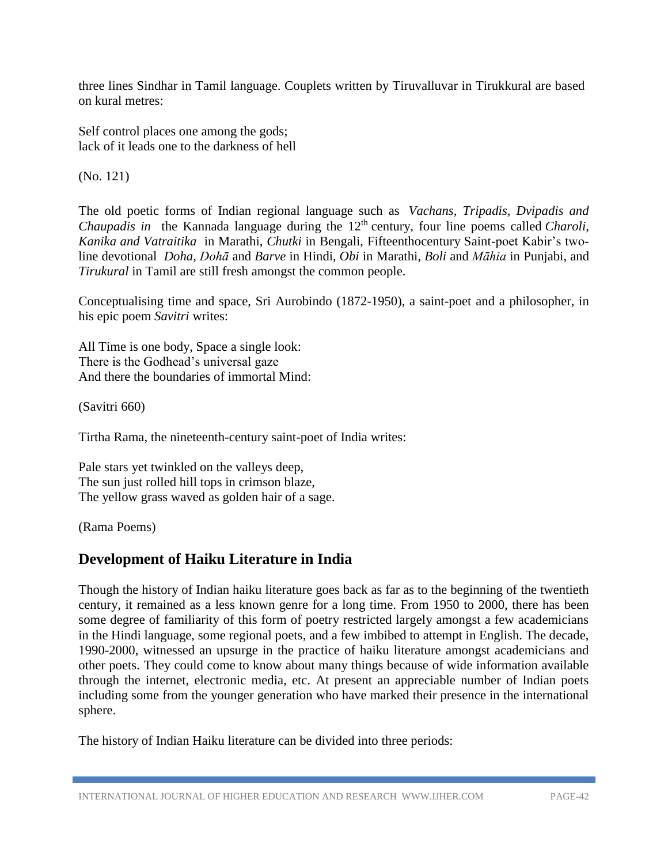three lines Sindhar in Tamil language. Couplets written by Tiruvalluvar in Tirukkural are based on kural metres:

Self control places one among the gods; lack of it leads one to the darkness of hell

(No. 121)

The old poetic forms of Indian regional language such as *Vachans, Tripadis, Dvipadis and Chaupadis in* the Kannada language during the 12<sup>th</sup> century, four line poems called *Charoli*, *Kanika and Vatraitika* in Marathi, *Chutki* in Bengali, Fifteenthocentury Saint-poet Kabir's twoline devotional *Doha, Dohā* and *Barve* in Hindi, *Obi* in Marathi, *Boli* and *Māhia* in Punjabi, and *Tirukural* in Tamil are still fresh amongst the common people.

Conceptualising time and space, Sri Aurobindo (1872-1950), a saint-poet and a philosopher, in his epic poem *Savitri* writes:

All Time is one body, Space a single look: There is the Godhead's universal gaze And there the boundaries of immortal Mind:

(Savitri 660)

Tirtha Rama, the nineteenth-century saint-poet of India writes:

Pale stars yet twinkled on the valleys deep, The sun just rolled hill tops in crimson blaze, The yellow grass waved as golden hair of a sage.

(Rama Poems)

# **Development of Haiku Literature in India**

Though the history of Indian haiku literature goes back as far as to the beginning of the twentieth century, it remained as a less known genre for a long time. From 1950 to 2000, there has been some degree of familiarity of this form of poetry restricted largely amongst a few academicians in the Hindi language, some regional poets, and a few imbibed to attempt in English. The decade, 1990-2000, witnessed an upsurge in the practice of haiku literature amongst academicians and other poets. They could come to know about many things because of wide information available through the internet, electronic media, etc. At present an appreciable number of Indian poets including some from the younger generation who have marked their presence in the international sphere.

The history of Indian Haiku literature can be divided into three periods: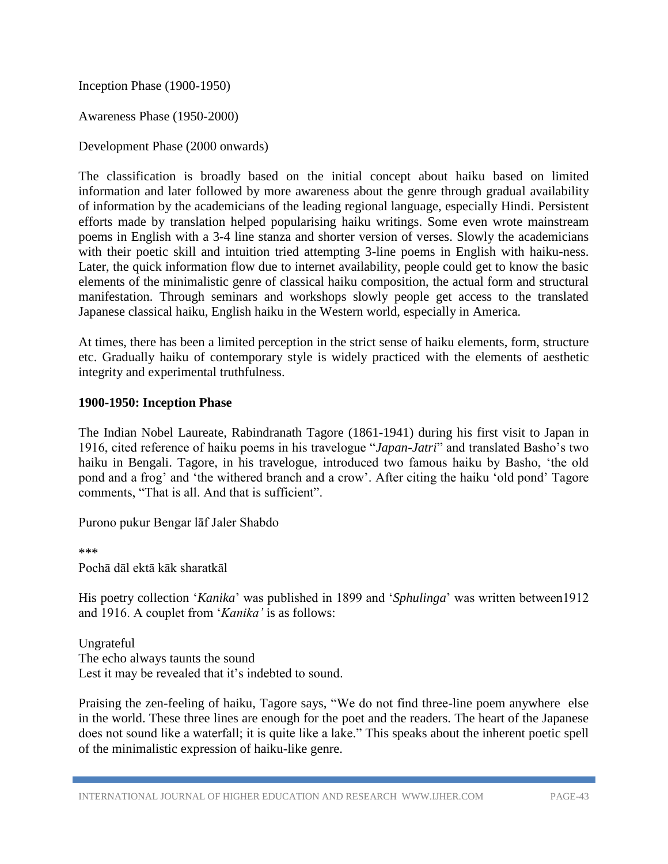Inception Phase (1900-1950)

Awareness Phase (1950-2000)

Development Phase (2000 onwards)

The classification is broadly based on the initial concept about haiku based on limited information and later followed by more awareness about the genre through gradual availability of information by the academicians of the leading regional language, especially Hindi. Persistent efforts made by translation helped popularising haiku writings. Some even wrote mainstream poems in English with a 3-4 line stanza and shorter version of verses. Slowly the academicians with their poetic skill and intuition tried attempting 3-line poems in English with haiku-ness. Later, the quick information flow due to internet availability, people could get to know the basic elements of the minimalistic genre of classical haiku composition, the actual form and structural manifestation. Through seminars and workshops slowly people get access to the translated Japanese classical haiku, English haiku in the Western world, especially in America.

At times, there has been a limited perception in the strict sense of haiku elements, form, structure etc. Gradually haiku of contemporary style is widely practiced with the elements of aesthetic integrity and experimental truthfulness.

#### **1900-1950: Inception Phase**

The Indian Nobel Laureate, Rabindranath Tagore (1861-1941) during his first visit to Japan in 1916, cited reference of haiku poems in his travelogue "*Japan-Jatri*" and translated Basho's two haiku in Bengali. Tagore, in his travelogue, introduced two famous haiku by Basho, 'the old pond and a frog' and 'the withered branch and a crow'. After citing the haiku 'old pond' Tagore comments, "That is all. And that is sufficient".

Purono pukur Bengar lāf Jaler Shabdo

\*\*\*

Pochā dāl ektā kāk sharatkāl

His poetry collection '*Kanika*' was published in 1899 and '*Sphulinga*' was written between1912 and 1916. A couplet from '*Kanika'* is as follows:

Ungrateful The echo always taunts the sound Lest it may be revealed that it's indebted to sound.

Praising the zen-feeling of haiku, Tagore says, "We do not find three-line poem anywhere else in the world. These three lines are enough for the poet and the readers. The heart of the Japanese does not sound like a waterfall; it is quite like a lake." This speaks about the inherent poetic spell of the minimalistic expression of haiku-like genre.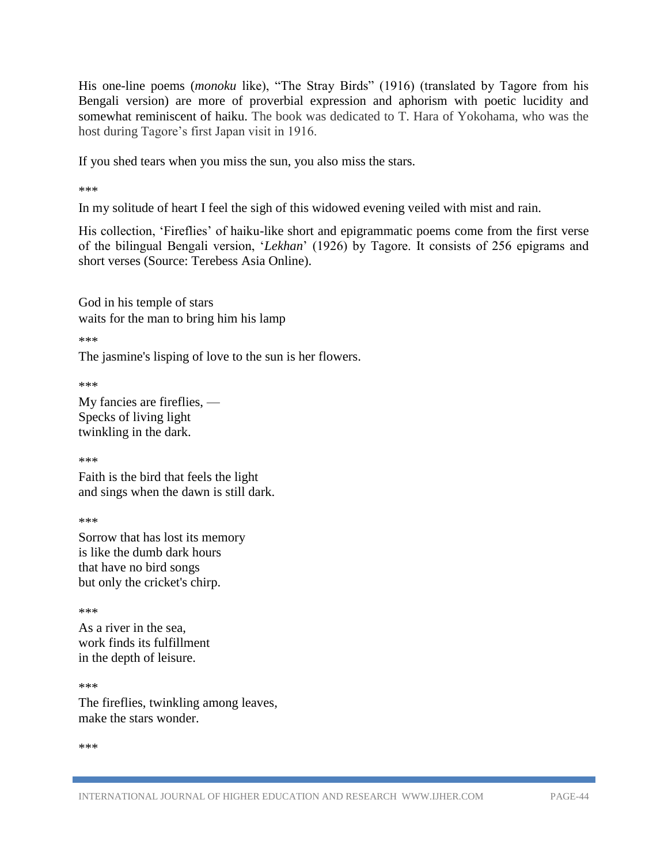His one-line poems (*monoku* like), "The Stray Birds" (1916) (translated by Tagore from his Bengali version) are more of proverbial expression and aphorism with poetic lucidity and somewhat reminiscent of haiku. The book was dedicated to T. Hara of Yokohama, who was the host during Tagore's first Japan visit in 1916.

If you shed tears when you miss the sun, you also miss the stars.

\*\*\*

In my solitude of heart I feel the sigh of this widowed evening veiled with mist and rain.

His collection, 'Fireflies' of haiku-like short and epigrammatic poems come from the first verse of the bilingual Bengali version, '*Lekhan*' (1926) by Tagore. It consists of 256 epigrams and short verses (Source: Terebess Asia Online).

God in his temple of stars waits for the man to bring him his lamp

\*\*\*

The jasmine's lisping of love to the sun is her flowers.

\*\*\*

My fancies are fireflies, — Specks of living light twinkling in the dark.

\*\*\*

Faith is the bird that feels the light and sings when the dawn is still dark.

\*\*\*

Sorrow that has lost its memory is like the dumb dark hours that have no bird songs but only the cricket's chirp.

\*\*\*

As a river in the sea, work finds its fulfillment in the depth of leisure.

\*\*\* The fireflies, twinkling among leaves, make the stars wonder.

\*\*\*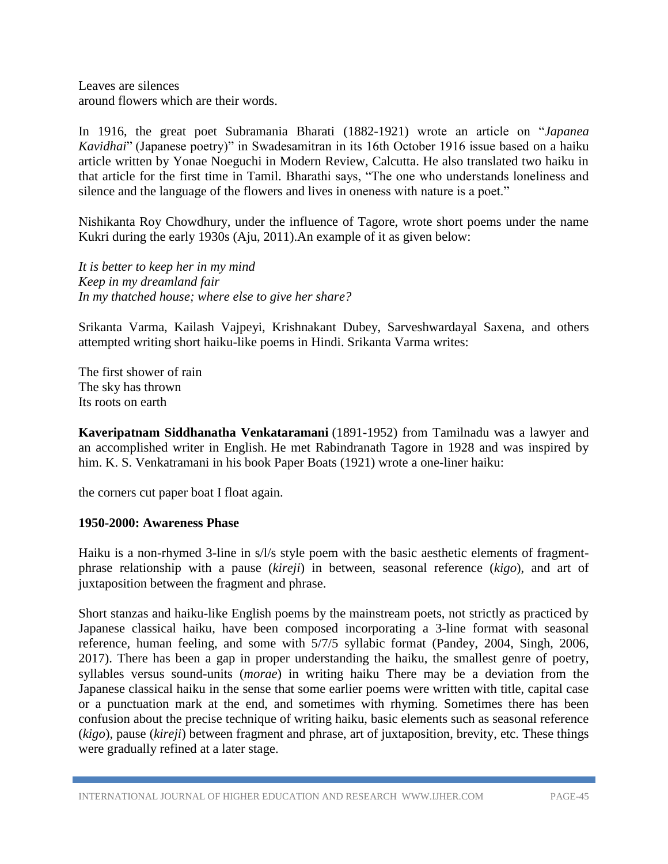Leaves are silences around flowers which are their words.

In 1916, the great poet Subramania Bharati (1882-1921) wrote an article on "*Japanea Kavidhai*" (Japanese poetry)" in Swadesamitran in its 16th October 1916 issue based on a haiku article written by Yonae Noeguchi in Modern Review, Calcutta. He also translated two haiku in that article for the first time in Tamil. Bharathi says, "The one who understands loneliness and silence and the language of the flowers and lives in oneness with nature is a poet."

Nishikanta Roy Chowdhury, under the influence of Tagore, wrote short poems under the name Kukri during the early 1930s (Aju, 2011).An example of it as given below:

*It is better to keep her in my mind Keep in my dreamland fair In my thatched house; where else to give her share?*

Srikanta Varma, Kailash Vajpeyi, Krishnakant Dubey, Sarveshwardayal Saxena, and others attempted writing short haiku-like poems in Hindi. Srikanta Varma writes:

The first shower of rain The sky has thrown Its roots on earth

**Kaveripatnam Siddhanatha Venkataramani** (1891-1952) from Tamilnadu was a lawyer and an accomplished writer in English. He met Rabindranath Tagore in 1928 and was inspired by him. K. S. Venkatramani in his book Paper Boats (1921) wrote a one-liner haiku:

the corners cut paper boat I float again.

#### **1950-2000: Awareness Phase**

Haiku is a non-rhymed 3-line in s/l/s style poem with the basic aesthetic elements of fragmentphrase relationship with a pause (*kireji*) in between, seasonal reference (*kigo*), and art of juxtaposition between the fragment and phrase.

Short stanzas and haiku-like English poems by the mainstream poets, not strictly as practiced by Japanese classical haiku, have been composed incorporating a 3-line format with seasonal reference, human feeling, and some with 5/7/5 syllabic format (Pandey, 2004, Singh, 2006, 2017). There has been a gap in proper understanding the haiku, the smallest genre of poetry, syllables versus sound-units (*morae*) in writing haiku There may be a deviation from the Japanese classical haiku in the sense that some earlier poems were written with title, capital case or a punctuation mark at the end, and sometimes with rhyming. Sometimes there has been confusion about the precise technique of writing haiku, basic elements such as seasonal reference (*kigo*), pause (*kireji*) between fragment and phrase, art of juxtaposition, brevity, etc. These things were gradually refined at a later stage.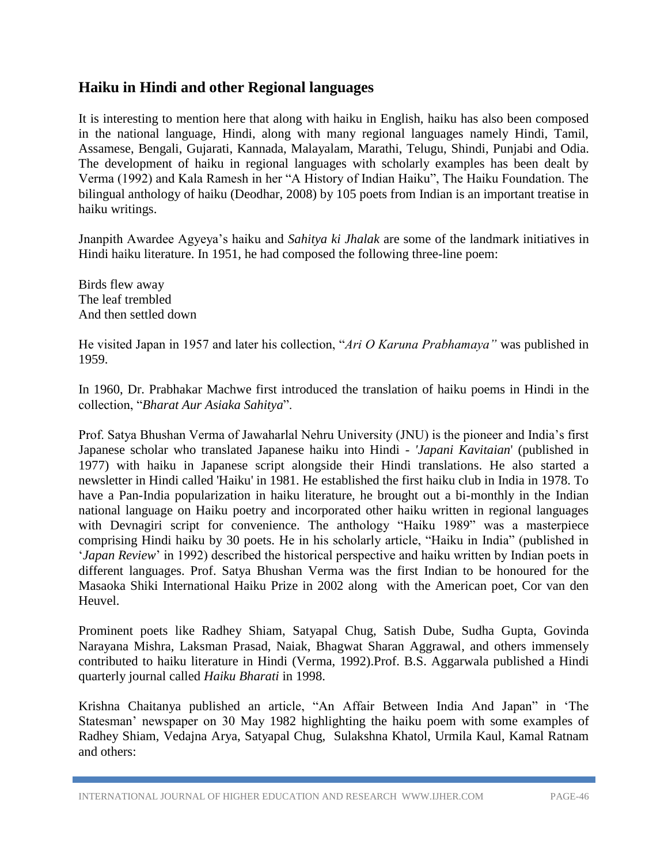## **Haiku in Hindi and other Regional languages**

It is interesting to mention here that along with haiku in English, haiku has also been composed in the national language, Hindi, along with many regional languages namely Hindi, Tamil, Assamese, Bengali, Gujarati, Kannada, Malayalam, Marathi, Telugu, Shindi, Punjabi and Odia. The development of haiku in regional languages with scholarly examples has been dealt by Verma (1992) and Kala Ramesh in her "A History of Indian Haiku", The Haiku Foundation. The bilingual anthology of haiku (Deodhar, 2008) by 105 poets from Indian is an important treatise in haiku writings.

Jnanpith Awardee Agyeya's haiku and *Sahitya ki Jhalak* are some of the landmark initiatives in Hindi haiku literature. In 1951, he had composed the following three-line poem:

Birds flew away The leaf trembled And then settled down

He visited Japan in 1957 and later his collection, "*Ari O Karuna Prabhamaya"* was published in 1959.

In 1960, Dr. Prabhakar Machwe first introduced the translation of haiku poems in Hindi in the collection, "*Bharat Aur Asiaka Sahitya*".

Prof. Satya Bhushan Verma of Jawaharlal Nehru University (JNU) is the pioneer and India's first Japanese scholar who translated Japanese haiku into Hindi - *'Japani Kavitaian*' (published in 1977) with haiku in Japanese script alongside their Hindi translations. He also started a newsletter in Hindi called 'Haiku' in 1981. He established the first haiku club in India in 1978. To have a Pan-India popularization in haiku literature, he brought out a bi-monthly in the Indian national language on Haiku poetry and incorporated other haiku written in regional languages with Devnagiri script for convenience. The anthology "Haiku 1989" was a masterpiece comprising Hindi haiku by 30 poets. He in his scholarly article, "Haiku in India" (published in '*Japan Review*' in 1992) described the historical perspective and haiku written by Indian poets in different languages. Prof. Satya Bhushan Verma was the first Indian to be honoured for the Masaoka Shiki International Haiku Prize in 2002 along with the American poet, Cor van den Heuvel.

Prominent poets like Radhey Shiam, Satyapal Chug, Satish Dube, Sudha Gupta, Govinda Narayana Mishra, Laksman Prasad, Naiak, Bhagwat Sharan Aggrawal, and others immensely contributed to haiku literature in Hindi (Verma, 1992).Prof. B.S. Aggarwala published a Hindi quarterly journal called *Haiku Bharati* in 1998.

Krishna Chaitanya published an article, "An Affair Between India And Japan" in 'The Statesman' newspaper on 30 May 1982 highlighting the haiku poem with some examples of Radhey Shiam, Vedajna Arya, Satyapal Chug, Sulakshna Khatol, Urmila Kaul, Kamal Ratnam and others:

INTERNATIONAL JOURNAL OF HIGHER EDUCATION AND RESEARCH WWW.IJHER.COM PAGE-46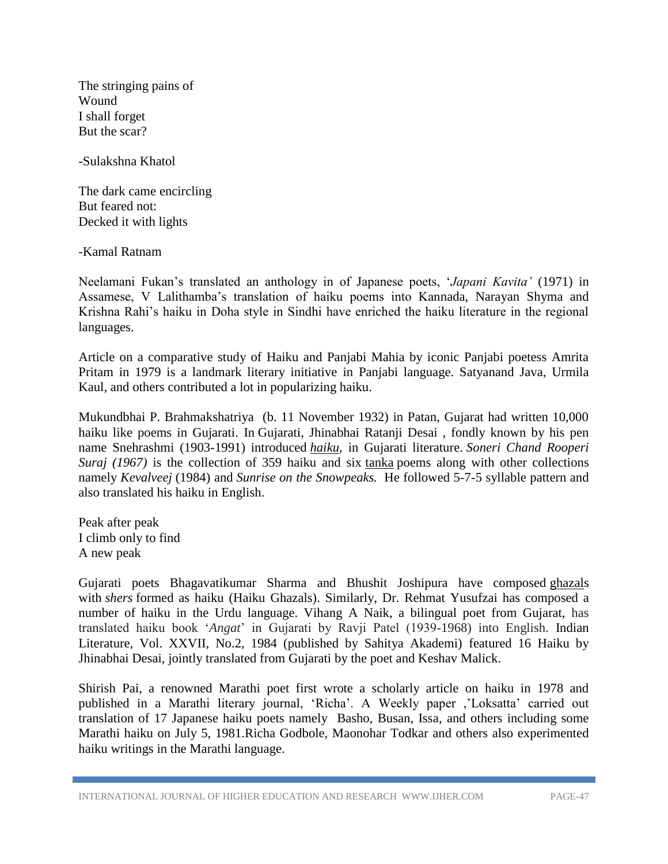The stringing pains of Wound I shall forget But the scar?

-Sulakshna Khatol

The dark came encircling But feared not: Decked it with lights

-Kamal Ratnam

Neelamani Fukan's translated an anthology in of Japanese poets, '*Japani Kavita'* (1971) in Assamese, V Lalithamba's translation of haiku poems into Kannada, Narayan Shyma and Krishna Rahi's haiku in Doha style in Sindhi have enriched the haiku literature in the regional languages.

Article on a comparative study of Haiku and Panjabi Mahia by iconic Panjabi poetess Amrita Pritam in 1979 is a landmark literary initiative in Panjabi language. Satyanand Java, Urmila Kaul, and others contributed a lot in popularizing haiku.

Mukundbhai P. Brahmakshatriya (b. 11 November 1932) in Patan, Gujarat had written 10,000 haiku like poems in Gujarati. In Gujarati, Jhinabhai Ratanji Desai , fondly known by his pen name Snehrashmi (1903-1991) introduced *[haiku](https://en.wikipedia.org/wiki/Haiku)*, in Gujarati literature. *Soneri Chand Rooperi Suraj (1967)* is the collection of 359 haiku and six [tanka](https://en.wikipedia.org/wiki/Tanka) poems along with other collections namely *Kevalveej* (1984) and *Sunrise on the Snowpeaks.* He followed 5-7-5 syllable pattern and also translated his haiku in English.

Peak after peak I climb only to find A new peak

Gujarati poets Bhagavatikumar Sharma and Bhushit Joshipura have composed [ghazals](https://ghazal.askdefine.com/) with *[shers](https://www.askdefine.com/search?q=Shayari)* formed as haiku (Haiku Ghazals). Similarly, Dr. Rehmat Yusufzai has composed a number of haiku in the Urdu language. Vihang A Naik, a bilingual poet from Gujarat, has translated haiku book '*Angat*' in Gujarati by Ravji Patel (1939-1968) into English. Indian Literature, Vol. XXVII, No.2, 1984 (published by Sahitya Akademi) featured 16 Haiku by Jhinabhai Desai, jointly translated from Gujarati by the poet and Keshav Malick.

Shirish Pai, a renowned Marathi poet first wrote a scholarly article on haiku in 1978 and published in a Marathi literary journal, 'Richa'. A Weekly paper ,'Loksatta' carried out translation of 17 Japanese haiku poets namely Basho, Busan, Issa, and others including some Marathi haiku on July 5, 1981.Richa Godbole, Maonohar Todkar and others also experimented haiku writings in the Marathi language.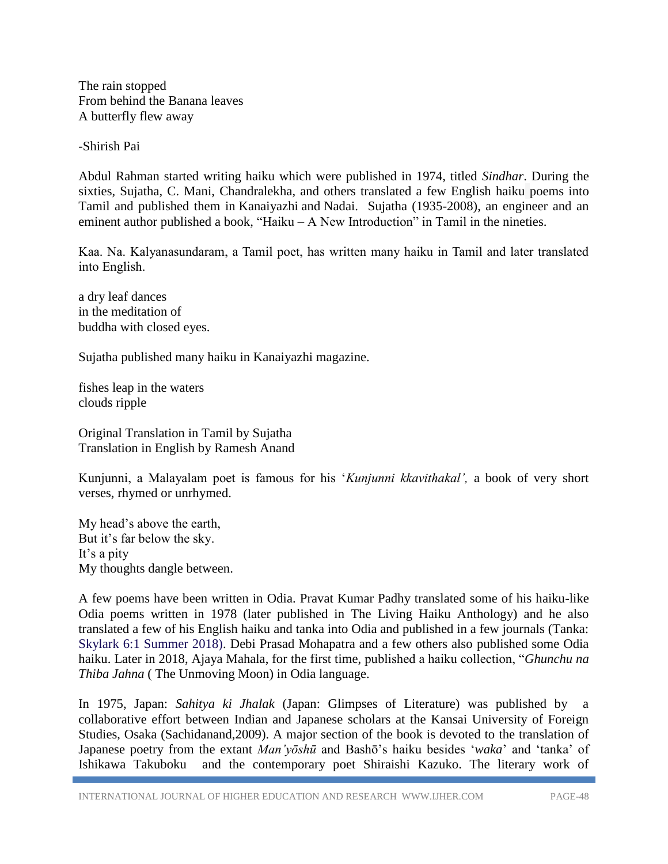The rain stopped From behind the Banana leaves A butterfly flew away

-Shirish Pai

Abdul Rahman started writing haiku which were published in 1974, titled *Sindhar*. During the sixties, Sujatha, C. Mani, Chandralekha, and others translated a few English haiku poems into Tamil and published them in Kanaiyazhi and Nadai. Sujatha (1935-2008), an engineer and an eminent author published a book, "Haiku – A New Introduction" in Tamil in the nineties.

Kaa. Na. Kalyanasundaram, a Tamil poet, has written many haiku in Tamil and later translated into English.

a dry leaf dances in the meditation of buddha with closed eyes.

Sujatha published many haiku in Kanaiyazhi magazine.

fishes leap in the waters clouds ripple

Original Translation in Tamil by Sujatha Translation in English by Ramesh Anand

Kunjunni, a Malayalam poet is famous for his '*Kunjunni kkavithakal',* a book of very short verses, rhymed or unrhymed.

My head's above the earth, But it's far below the sky. It's a pity My thoughts dangle between.

A few poems have been written in Odia. Pravat Kumar Padhy translated some of his haiku-like Odia poems written in 1978 (later published in The Living Haiku Anthology) and he also translated a few of his English haiku and tanka into Odia and published in a few journals (Tanka: Skylark 6:1 Summer 2018). Debi Prasad Mohapatra and a few others also published some Odia haiku. Later in 2018, Ajaya Mahala, for the first time, published a haiku collection, "*Ghunchu na Thiba Jahna* ( The Unmoving Moon) in Odia language.

In 1975, Japan: *Sahitya ki Jhalak* (Japan: Glimpses of Literature) was published by a collaborative effort between Indian and Japanese scholars at the Kansai University of Foreign Studies, Osaka (Sachidanand,2009). A major section of the book is devoted to the translation of Japanese poetry from the extant *Man'yōshū* and Bashō's haiku besides '*waka*' and 'tanka' of Ishikawa Takuboku and the contemporary poet Shiraishi Kazuko. The literary work of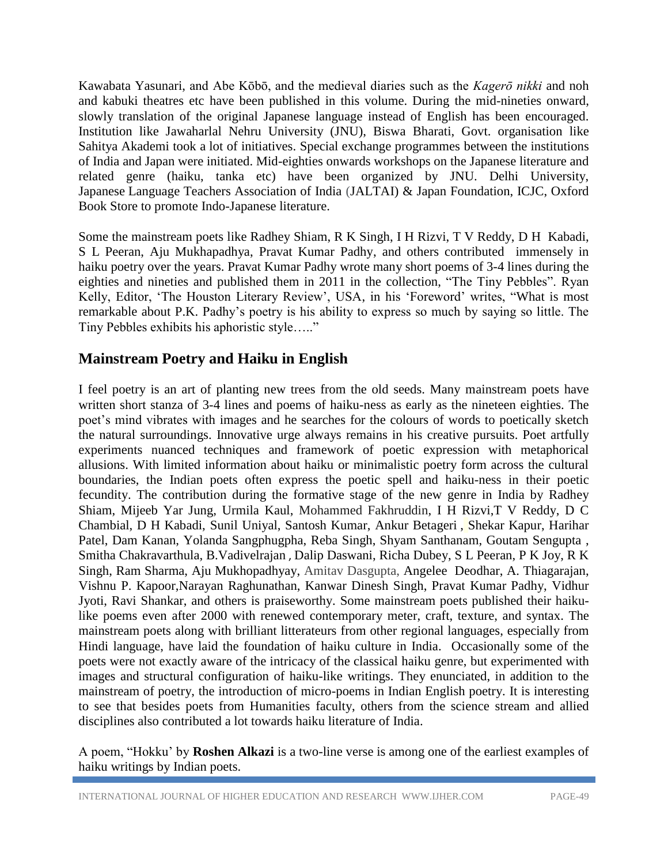Kawabata Yasunari, and Abe Kōbō, and the medieval diaries such as the *Kagerō nikki* and noh and kabuki theatres etc have been published in this volume. During the mid-nineties onward, slowly translation of the original Japanese language instead of English has been encouraged. Institution like Jawaharlal Nehru University (JNU), Biswa Bharati, Govt. organisation like Sahitya Akademi took a lot of initiatives. Special exchange programmes between the institutions of India and Japan were initiated. Mid-eighties onwards workshops on the Japanese literature and related genre (haiku, tanka etc) have been organized by JNU. Delhi University, Japanese Language Teachers Association of India (JALTAI) & Japan Foundation, ICJC, Oxford Book Store to promote Indo-Japanese literature.

Some the mainstream poets like Radhey Shiam, R K Singh, I H Rizvi, T V Reddy, D H Kabadi, S L Peeran, Aju Mukhapadhya, Pravat Kumar Padhy, and others contributed immensely in haiku poetry over the years. Pravat Kumar Padhy wrote many short poems of 3-4 lines during the eighties and nineties and published them in 2011 in the collection, "The Tiny Pebbles". Ryan Kelly, Editor, 'The Houston Literary Review', USA, in his 'Foreword' writes, "What is most remarkable about P.K. Padhy's poetry is his ability to express so much by saying so little. The Tiny Pebbles exhibits his aphoristic style….."

# **Mainstream Poetry and Haiku in English**

I feel poetry is an art of planting new trees from the old seeds. Many mainstream poets have written short stanza of 3-4 lines and poems of haiku-ness as early as the nineteen eighties. The poet's mind vibrates with images and he searches for the colours of words to poetically sketch the natural surroundings. Innovative urge always remains in his creative pursuits. Poet artfully experiments nuanced techniques and framework of poetic expression with metaphorical allusions. With limited information about haiku or minimalistic poetry form across the cultural boundaries, the Indian poets often express the poetic spell and haiku-ness in their poetic fecundity. The contribution during the formative stage of the new genre in India by Radhey Shiam, Mijeeb Yar Jung, Urmila Kaul, Mohammed Fakhruddin, I H Rizvi,T V Reddy, D C Chambial, D H Kabadi, Sunil Uniyal, Santosh Kumar, [Ankur Betageri](http://www.museindia.com/authprofile.asp?id=120) , Shekar Kapur, Harihar Patel, Dam Kanan, [Yolanda Sangphugpha,](http://www.yowangdu.com/yo/india/haibun.html) Reba Singh, Shyam Santhanam, Goutam Sengupta , [Smitha Chakravarthula,](http://indiasaijikiworlkhaiku.blogspot.com/2005/03/smitha-chakravarthula.html) B.Vadivelrajan , [Dalip Daswani,](http://indiasaijikiworlkhaiku.blogspot.com/2005/04/dalip-daswani.html) Richa Dubey, S L Peeran, P K Joy, R K Singh, Ram Sharma, Aju Mukhopadhyay, Amitav Dasgupta, Angelee Deodhar, A. Thiagarajan, Vishnu P. Kapoor,Narayan Raghunathan, Kanwar Dinesh Singh, Pravat Kumar Padhy, Vidhur Jyoti, Ravi Shankar, and others is praiseworthy. Some mainstream poets published their haikulike poems even after 2000 with renewed contemporary meter, craft, texture, and syntax. The mainstream poets along with brilliant litterateurs from other regional languages, especially from Hindi language, have laid the foundation of haiku culture in India. Occasionally some of the poets were not exactly aware of the intricacy of the classical haiku genre, but experimented with images and structural configuration of haiku-like writings. They enunciated, in addition to the mainstream of poetry, the introduction of micro-poems in Indian English poetry. It is interesting to see that besides poets from Humanities faculty, others from the science stream and allied disciplines also contributed a lot towards haiku literature of India.

A poem, "Hokku' by **Roshen Alkazi** is a two-line verse is among one of the earliest examples of haiku writings by Indian poets.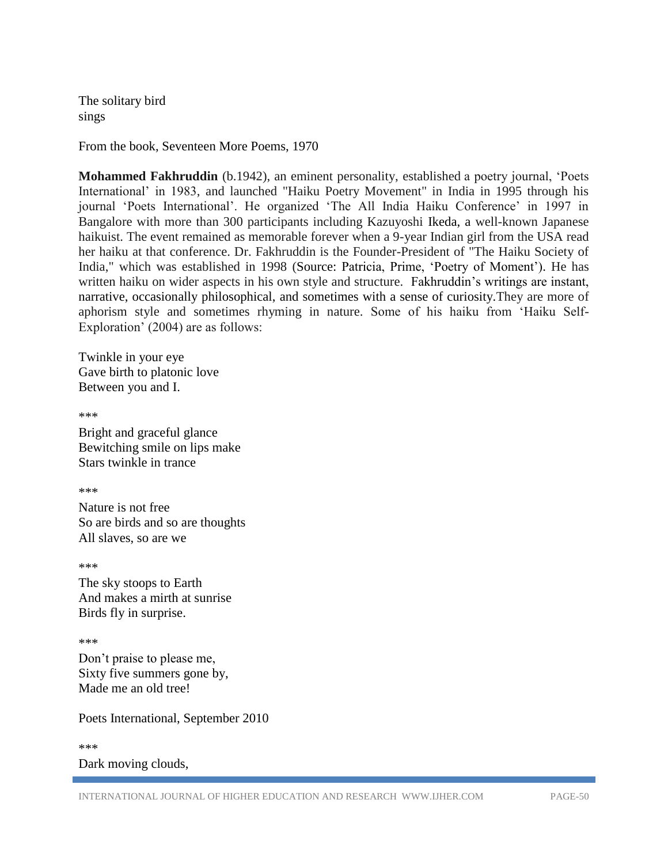The solitary bird sings

From the book, Seventeen More Poems, 1970

**Mohammed Fakhruddin** (b.1942), an eminent personality, established a poetry journal, 'Poets International' in 1983, and launched "Haiku Poetry Movement" in India in 1995 through his journal 'Poets International'. He organized 'The All India Haiku Conference' in 1997 in Bangalore with more than 300 participants including Kazuyoshi Ikeda, a well-known Japanese haikuist. The event remained as memorable forever when a 9-year Indian girl from the USA read her haiku at that conference. Dr. Fakhruddin is the Founder-President of "The Haiku Society of India," which was established in 1998 (Source: Patricia, Prime, 'Poetry of Moment'). He has written haiku on wider aspects in his own style and structure. Fakhruddin's writings are instant, narrative, occasionally philosophical, and sometimes with a sense of curiosity.They are more of aphorism style and sometimes rhyming in nature. Some of his haiku from 'Haiku Self-Exploration' (2004) are as follows:

Twinkle in your eye Gave birth to platonic love Between you and I.

\*\*\*

Bright and graceful glance Bewitching smile on lips make Stars twinkle in trance

\*\*\*

Nature is not free So are birds and so are thoughts All slaves, so are we

\*\*\*

The sky stoops to Earth And makes a mirth at sunrise Birds fly in surprise.

\*\*\*

Don't praise to please me, Sixty five summers gone by, Made me an old tree!

Poets International, September 2010

\*\*\*

Dark moving clouds,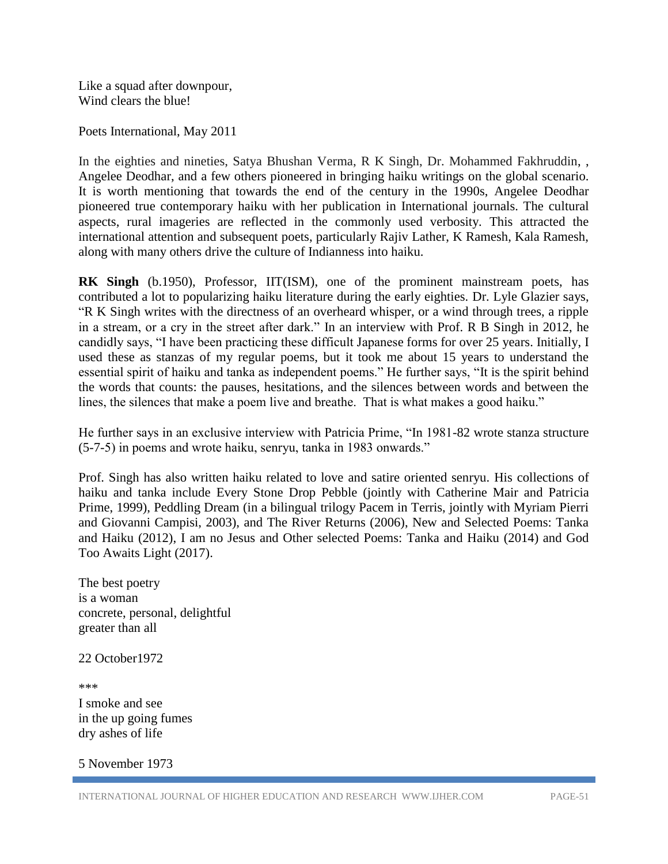Like a squad after downpour, Wind clears the blue!

Poets International, May 2011

In the eighties and nineties, Satya Bhushan Verma, R K Singh, Dr. Mohammed Fakhruddin, , Angelee Deodhar, and a few others pioneered in bringing haiku writings on the global scenario. It is worth mentioning that towards the end of the century in the 1990s, Angelee Deodhar pioneered true contemporary haiku with her publication in International journals. The cultural aspects, rural imageries are reflected in the commonly used verbosity. This attracted the international attention and subsequent poets, particularly Rajiv Lather, K Ramesh, Kala Ramesh, along with many others drive the culture of Indianness into haiku.

**RK Singh** (b.1950), Professor, IIT(ISM), one of the prominent mainstream poets, has contributed a lot to popularizing haiku literature during the early eighties. Dr. Lyle Glazier says, "R K Singh writes with the directness of an overheard whisper, or a wind through trees, a ripple in a stream, or a cry in the street after dark." In an interview with Prof. R B Singh in 2012, he candidly says, "I have been practicing these difficult Japanese forms for over 25 years. Initially, I used these as stanzas of my regular poems, but it took me about 15 years to understand the essential spirit of haiku and tanka as independent poems." He further says, "It is the spirit behind the words that counts: the pauses, hesitations, and the silences between words and between the lines, the silences that make a poem live and breathe. That is what makes a good haiku."

He further says in an exclusive interview with Patricia Prime, "In 1981-82 wrote stanza structure (5-7-5) in poems and wrote haiku, senryu, tanka in 1983 onwards."

Prof. Singh has also written haiku related to love and satire oriented senryu. His collections of haiku and tanka include Every Stone Drop Pebble (jointly with Catherine Mair and Patricia Prime, 1999), Peddling Dream (in a bilingual trilogy Pacem in Terris, jointly with Myriam Pierri and Giovanni Campisi, 2003), and The River Returns (2006), New and Selected Poems: Tanka and Haiku (2012), I am no Jesus and Other selected Poems: Tanka and Haiku (2014) and God Too Awaits Light (2017).

The best poetry is a woman concrete, personal, delightful greater than all

22 October1972

\*\*\* I smoke and see in the up going fumes dry ashes of life

5 November 1973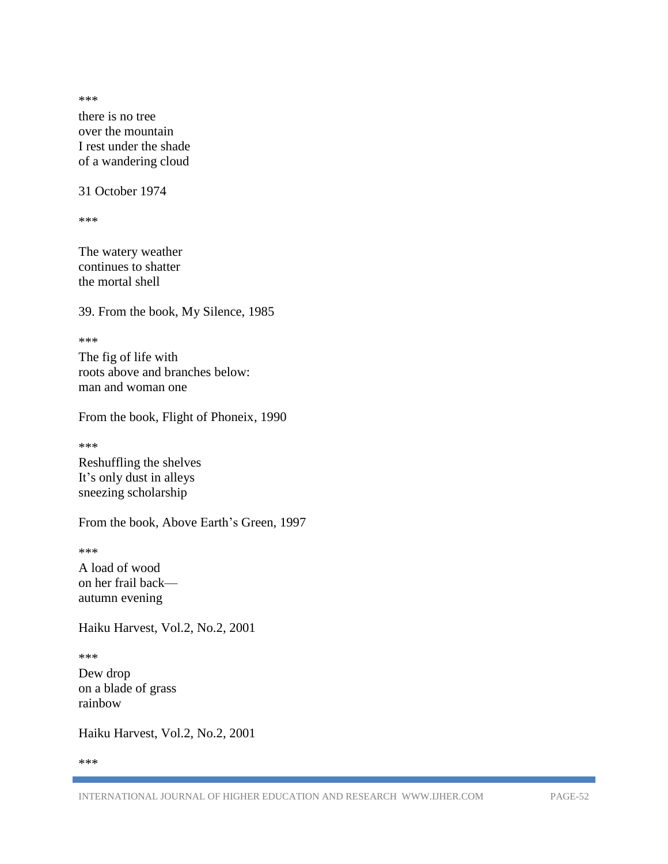\*\*\*

there is no tree over the mountain I rest under the shade of a wandering cloud

31 October 1974

\*\*\*

The watery weather continues to shatter the mortal shell

39. From the book, My Silence, 1985

\*\*\*

The fig of life with roots above and branches below: man and woman one

From the book, Flight of Phoneix, 1990

\*\*\*

Reshuffling the shelves It's only dust in alleys sneezing scholarship

From the book, Above Earth's Green, 1997

\*\*\*

A load of wood on her frail back autumn evening

Haiku Harvest, Vol.2, No.2, 2001

\*\*\*

Dew drop on a blade of grass rainbow

Haiku Harvest, Vol.2, No.2, 2001

\*\*\*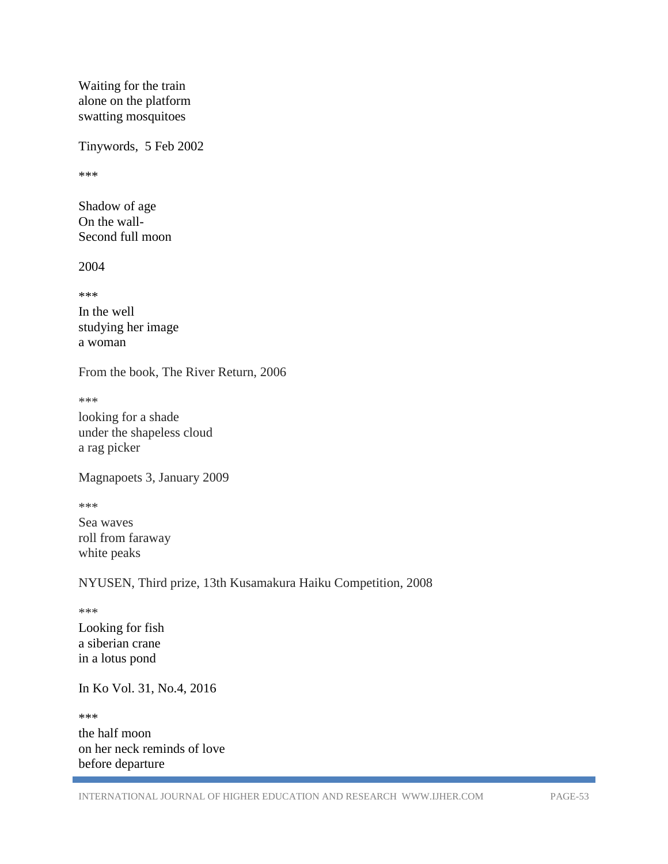Waiting for the train alone on the platform swatting mosquitoes

Tinywords, 5 Feb 2002

\*\*\*

Shadow of age On the wall-Second full moon

2004

\*\*\*

In the well studying her image a woman

From the book, The River Return, 2006

\*\*\*

looking for a shade under the shapeless cloud a rag picker

Magnapoets 3, January 2009

\*\*\*

Sea waves roll from faraway white peaks

NYUSEN, Third prize, 13th Kusamakura Haiku Competition, 2008

\*\*\*

Looking for fish a siberian crane in a lotus pond

In Ko Vol. 31, No.4, 2016

\*\*\*

the half moon on her neck reminds of love before departure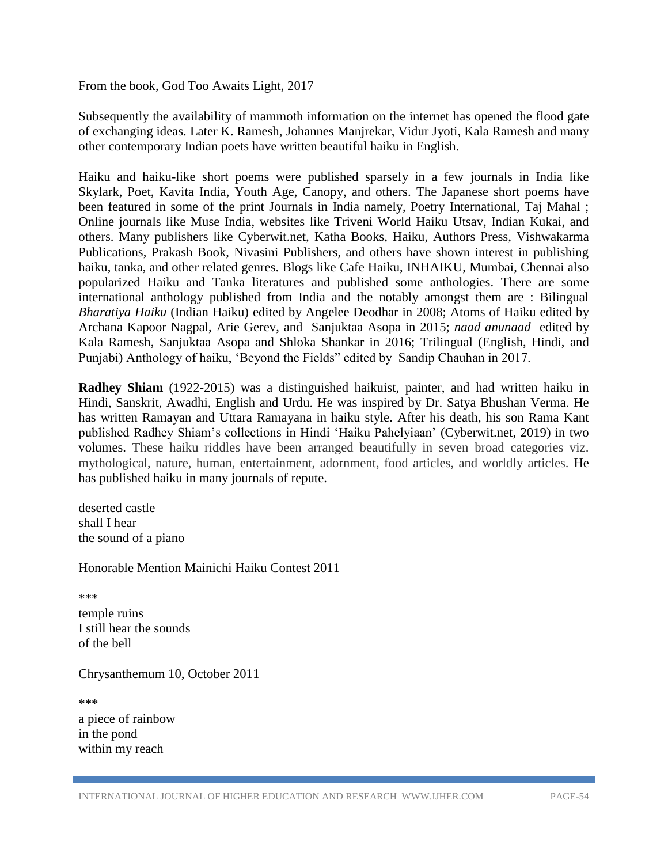From the book, God Too Awaits Light, 2017

Subsequently the availability of mammoth information on the internet has opened the flood gate of exchanging ideas. Later K. Ramesh, Johannes Manjrekar, Vidur Jyoti, Kala Ramesh and many other contemporary Indian poets have written beautiful haiku in English.

Haiku and haiku-like short poems were published sparsely in a few journals in India like Skylark, Poet, Kavita India, Youth Age, Canopy, and others. The Japanese short poems have been featured in some of the print Journals in India namely, Poetry International, Taj Mahal ; Online journals like Muse India, websites like Triveni World Haiku Utsav, Indian Kukai, and others. Many publishers like Cyberwit.net, Katha Books, Haiku, Authors Press, Vishwakarma Publications, Prakash Book, Nivasini Publishers, and others have shown interest in publishing haiku, tanka, and other related genres. Blogs like Cafe Haiku, INHAIKU, Mumbai, Chennai also popularized Haiku and Tanka literatures and published some anthologies. There are some international anthology published from India and the notably amongst them are : Bilingual *Bharatiya Haiku* (Indian Haiku) edited by Angelee Deodhar in 2008; Atoms of Haiku edited by Archana Kapoor Nagpal, Arie Gerev, and Sanjuktaa Asopa in 2015; *naad anunaad* edited by Kala Ramesh, Sanjuktaa Asopa and Shloka Shankar in 2016; Trilingual (English, Hindi, and Punjabi) Anthology of haiku, 'Beyond the Fields" edited by Sandip Chauhan in 2017.

**Radhey Shiam** (1922-2015) was a distinguished haikuist, painter, and had written haiku in Hindi, Sanskrit, Awadhi, English and Urdu. He was inspired by Dr. Satya Bhushan Verma. He has written Ramayan and Uttara Ramayana in haiku style. After his death, his son Rama Kant published Radhey Shiam's collections in Hindi 'Haiku Pahelyiaan' (Cyberwit.net, 2019) in two volumes. These haiku riddles have been arranged beautifully in seven broad categories viz. mythological, nature, human, entertainment, adornment, food articles, and worldly articles. He has published haiku in many journals of repute.

deserted castle shall I hear the sound of a piano

Honorable Mention Mainichi Haiku Contest 2011

\*\*\*

temple ruins I still hear the sounds of the bell

Chrysanthemum 10, October 2011

\*\*\*

a piece of rainbow in the pond within my reach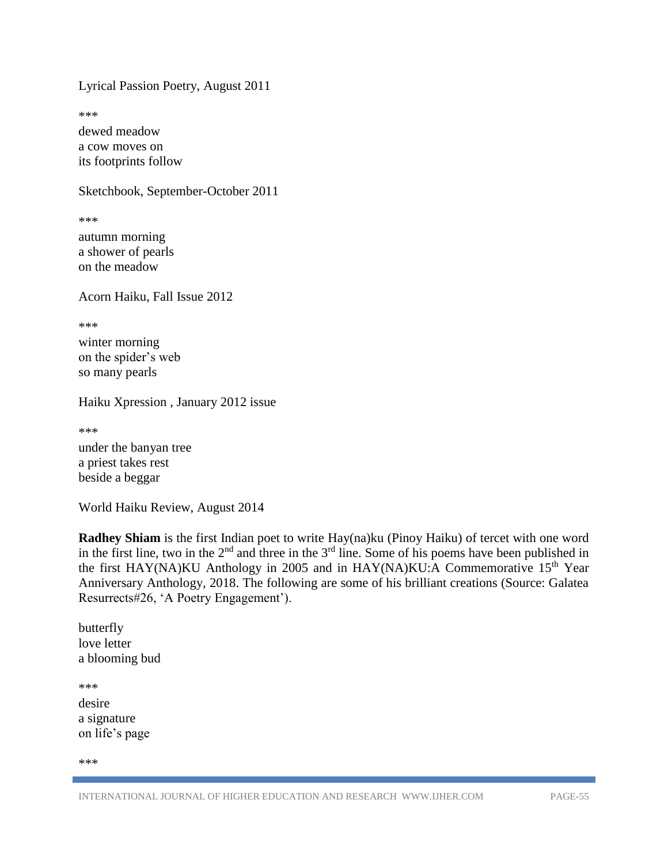Lyrical Passion Poetry, August 2011

\*\*\*

dewed meadow a cow moves on its footprints follow

Sketchbook, September-October 2011

\*\*\*

autumn morning a shower of pearls on the meadow

Acorn Haiku, Fall Issue 2012

\*\*\*

winter morning on the spider's web so many pearls

Haiku Xpression , January 2012 issue

\*\*\*

under the banyan tree a priest takes rest beside a beggar

World Haiku Review, August 2014

**Radhey Shiam** is the first Indian poet to write Hay(na)ku (Pinoy Haiku) of tercet with one word in the first line, two in the  $2<sup>nd</sup>$  and three in the  $3<sup>rd</sup>$  line. Some of his poems have been published in the first HAY(NA)KU Anthology in 2005 and in HAY(NA)KU:A Commemorative  $15<sup>th</sup>$  Year Anniversary Anthology, 2018. The following are some of his brilliant creations (Source: Galatea Resurrects#26, 'A Poetry Engagement').

butterfly love letter a blooming bud

\*\*\* desire a signature on life's page

\*\*\*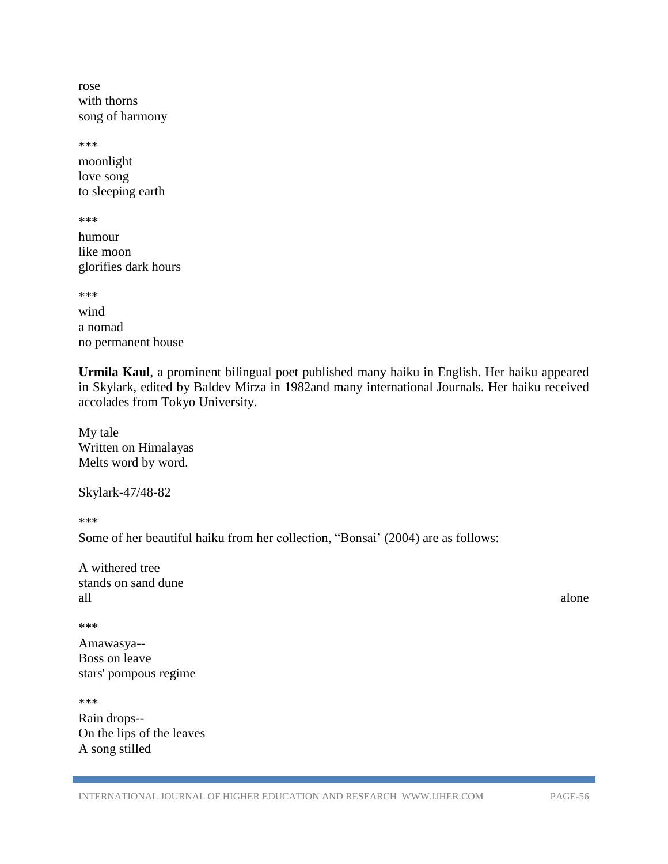rose with thorns song of harmony

\*\*\* moonlight love song to sleeping earth

\*\*\*

humour like moon glorifies dark hours

\*\*\*

wind a nomad no permanent house

**Urmila Kaul**, a prominent bilingual poet published many haiku in English. Her haiku appeared in Skylark, edited by Baldev Mirza in 1982and many international Journals. Her haiku received accolades from Tokyo University.

My tale Written on Himalayas Melts word by word.

Skylark-47/48-82

\*\*\*

Some of her beautiful haiku from her collection, "Bonsai' (2004) are as follows:

| A withered tree     |       |
|---------------------|-------|
| stands on sand dune |       |
| all                 | alone |

\*\*\*

Amawasya-- Boss on leave stars' pompous regime

\*\*\* Rain drops-- On the lips of the leaves A song stilled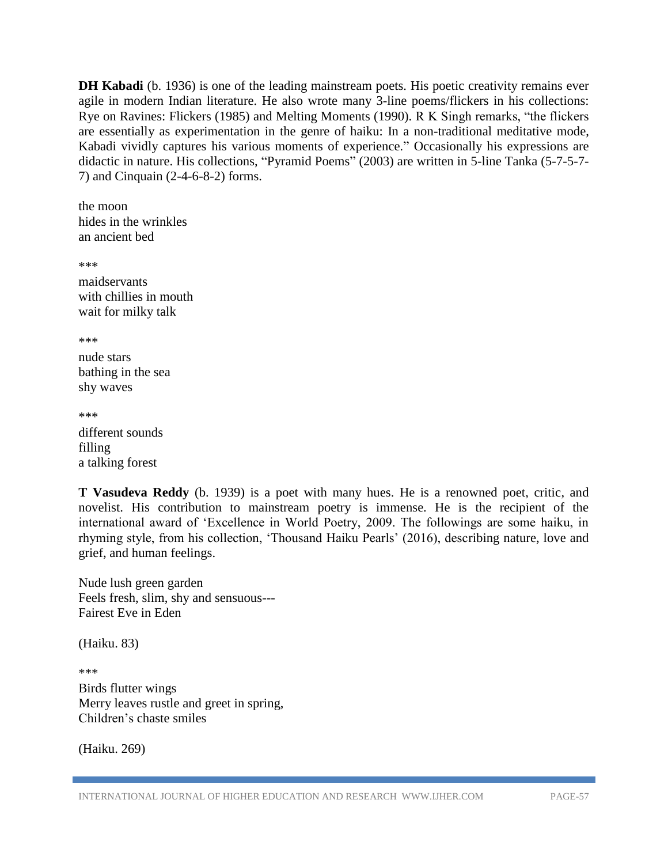**DH Kabadi** (b. 1936) is one of the leading mainstream poets. His poetic creativity remains ever agile in modern Indian literature. He also wrote many 3-line poems/flickers in his collections: Rye on Ravines: Flickers (1985) and Melting Moments (1990). R K Singh remarks, "the flickers are essentially as experimentation in the genre of haiku: In a non-traditional meditative mode, Kabadi vividly captures his various moments of experience." Occasionally his expressions are didactic in nature. His collections, "Pyramid Poems" (2003) are written in 5-line Tanka (5-7-5-7- 7) and Cinquain (2-4-6-8-2) forms.

the moon hides in the wrinkles an ancient bed

\*\*\*

maidservants with chillies in mouth wait for milky talk

\*\*\*

nude stars bathing in the sea shy waves

\*\*\*

different sounds filling a talking forest

**T Vasudeva Reddy** (b. 1939) is a poet with many hues. He is a renowned poet, critic, and novelist. His contribution to mainstream poetry is immense. He is the recipient of the international award of 'Excellence in World Poetry, 2009. The followings are some haiku, in rhyming style, from his collection, 'Thousand Haiku Pearls' (2016), describing nature, love and grief, and human feelings.

Nude lush green garden Feels fresh, slim, shy and sensuous--- Fairest Eve in Eden

(Haiku. 83)

\*\*\*

Birds flutter wings Merry leaves rustle and greet in spring, Children's chaste smiles

(Haiku. 269)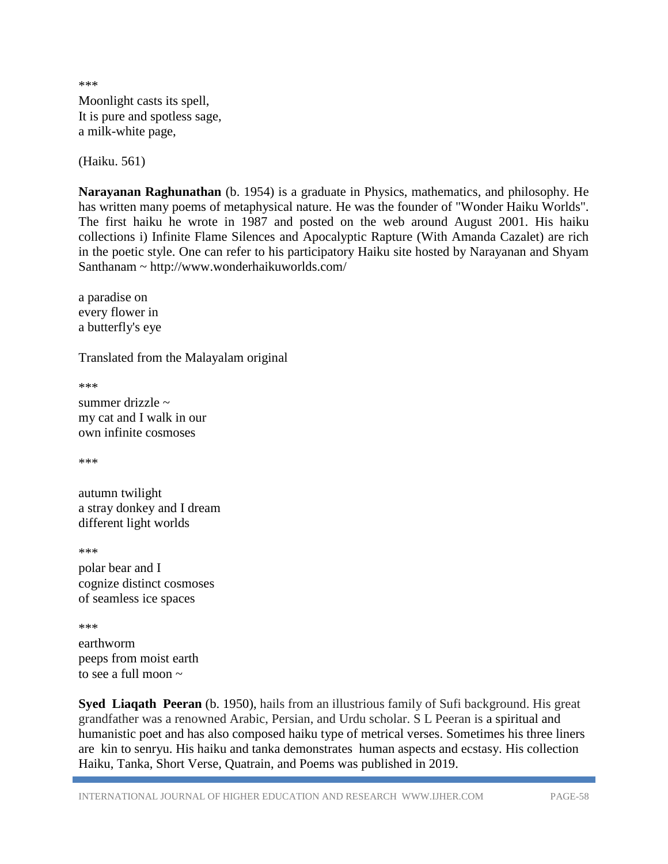\*\*\* Moonlight casts its spell, It is pure and spotless sage, a milk-white page,

(Haiku. 561)

**Narayanan Raghunathan** (b. 1954) is a graduate in Physics, mathematics, and philosophy. He has written many poems of metaphysical nature. He was the founder of "Wonder Haiku Worlds". The first haiku he wrote in 1987 and posted on the web around August 2001. His haiku collections i) Infinite Flame Silences and Apocalyptic Rapture (With Amanda Cazalet) are rich in the poetic style. One can refer to his participatory Haiku site hosted by Narayanan and Shyam Santhanam ~ http://www.wonderhaikuworlds.com/

a paradise on every flower in a butterfly's eye

Translated from the Malayalam original

\*\*\*

summer drizzle ~ my cat and I walk in our own infinite cosmoses

\*\*\*

autumn twilight a stray donkey and I dream different light worlds

\*\*\*

polar bear and I cognize distinct cosmoses of seamless ice spaces

\*\*\*

earthworm peeps from moist earth to see a full moon  $\sim$ 

**Syed Liaqath Peeran** (b. 1950), hails from an illustrious family of Sufi background. His great grandfather was a renowned Arabic, Persian, and Urdu scholar. S L Peeran is a spiritual and humanistic poet and has also composed haiku type of metrical verses. Sometimes his three liners are kin to senryu. His haiku and tanka demonstrates human aspects and ecstasy. His collection Haiku, Tanka, Short Verse, Quatrain, and Poems was published in 2019.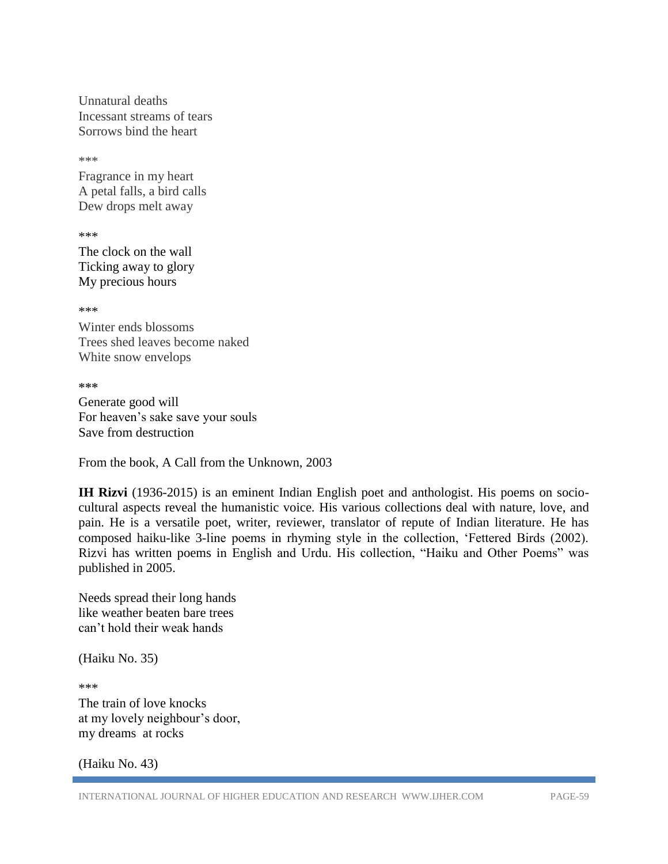Unnatural deaths Incessant streams of tears Sorrows bind the heart

\*\*\*

Fragrance in my heart A petal falls, a bird calls Dew drops melt away

\*\*\*

The clock on the wall Ticking away to glory My precious hours

\*\*\*

Winter ends blossoms Trees shed leaves become naked White snow envelops

**\*\*\***

Generate good will For heaven's sake save your souls Save from destruction

From the book, A Call from the Unknown, 2003

**IH Rizvi** (1936-2015) is an eminent Indian English poet and anthologist. His poems on sociocultural aspects reveal the humanistic voice. His various collections deal with nature, love, and pain. He is a versatile poet, writer, reviewer, translator of repute of Indian literature. He has composed haiku-like 3-line poems in rhyming style in the collection, 'Fettered Birds (2002). Rizvi has written poems in English and Urdu. His collection, "Haiku and Other Poems" was published in 2005.

Needs spread their long hands like weather beaten bare trees can't hold their weak hands

(Haiku No. 35)

\*\*\* The train of love knocks at my lovely neighbour's door, my dreams at rocks

(Haiku No. 43)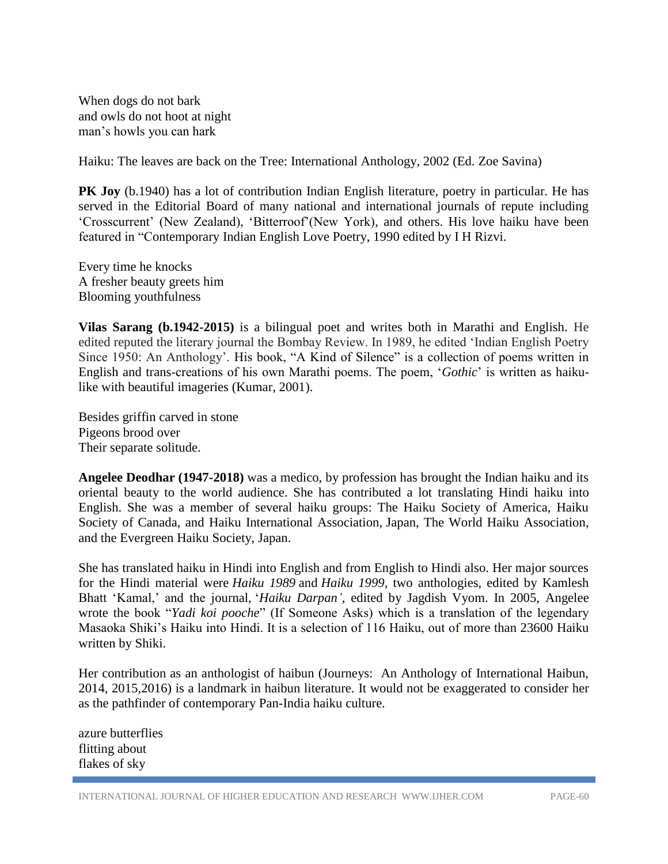When dogs do not bark and owls do not hoot at night man's howls you can hark

Haiku: The leaves are back on the Tree: International Anthology, 2002 (Ed. Zoe Savina)

**PK Joy** (b.1940) has a lot of contribution Indian English literature, poetry in particular. He has served in the Editorial Board of many national and international journals of repute including 'Crosscurrent' (New Zealand), 'Bitterroof'(New York), and others. His love haiku have been featured in "Contemporary Indian English Love Poetry, 1990 edited by I H Rizvi.

Every time he knocks A fresher beauty greets him Blooming youthfulness

**Vilas Sarang (b.1942-2015)** is a bilingual poet and writes both in Marathi and English. He edited reputed the literary journal the Bombay Review. In 1989, he edited 'Indian English Poetry Since 1950: An Anthology'. His book, "A Kind of Silence" is a collection of poems written in English and trans-creations of his own Marathi poems. The poem, '*Gothic*' is written as haikulike with beautiful imageries (Kumar, 2001).

Besides griffin carved in stone Pigeons brood over Their separate solitude.

**Angelee Deodhar (1947-2018)** was a medico, by profession has brought the Indian haiku and its oriental beauty to the world audience. She has contributed a lot translating Hindi haiku into English. She was a member of several haiku groups: The Haiku Society of America, Haiku Society of Canada, and Haiku International Association, Japan, The World Haiku Association, and the Evergreen Haiku Society, Japan.

She has translated haiku in Hindi into English and from English to Hindi also. Her major sources for the Hindi material were *Haiku 1989* and *Haiku 1999*, two anthologies, edited by Kamlesh Bhatt 'Kamal,' and the journal, '*Haiku Darpan'*, edited by Jagdish Vyom. In 2005, Angelee wrote the book "*Yadi koi pooche*" (If Someone Asks) which is a translation of the legendary Masaoka Shiki's Haiku into Hindi. It is a selection of 116 Haiku, out of more than 23600 Haiku written by Shiki.

Her contribution as an anthologist of haibun (Journeys: An Anthology of International Haibun, 2014, 2015,2016) is a landmark in haibun literature. It would not be exaggerated to consider her as the pathfinder of contemporary Pan-India haiku culture.

azure butterflies flitting about flakes of sky

INTERNATIONAL JOURNAL OF HIGHER EDUCATION AND RESEARCH WWW.IJHER.COM PAGE-60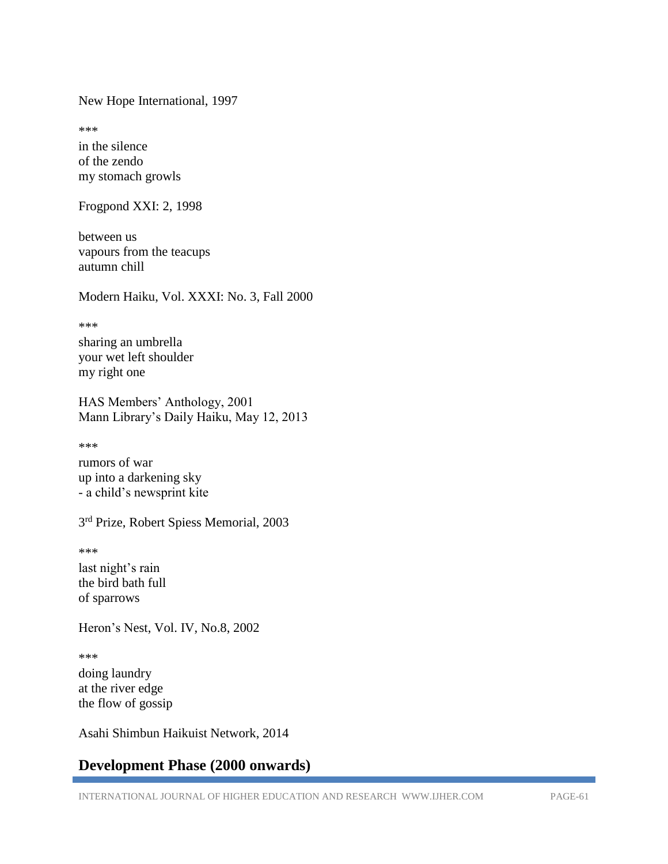New Hope International, 1997

\*\*\*

in the silence of the zendo my stomach growls

Frogpond XXI: 2, 1998

between us vapours from the teacups autumn chill

Modern Haiku, Vol. XXXI: No. 3, Fall 2000

\*\*\*

sharing an umbrella your wet left shoulder my right one

HAS Members' Anthology, 2001 Mann Library's Daily Haiku, May 12, 2013

\*\*\*

rumors of war up into a darkening sky - a child's newsprint kite

3<sup>rd</sup> Prize, Robert Spiess Memorial, 2003

\*\*\*

last night's rain the bird bath full of sparrows

Heron's Nest, Vol. IV, No.8, 2002

\*\*\* doing laundry at the river edge the flow of gossip

Asahi Shimbun Haikuist Network, 2014

# **Development Phase (2000 onwards)**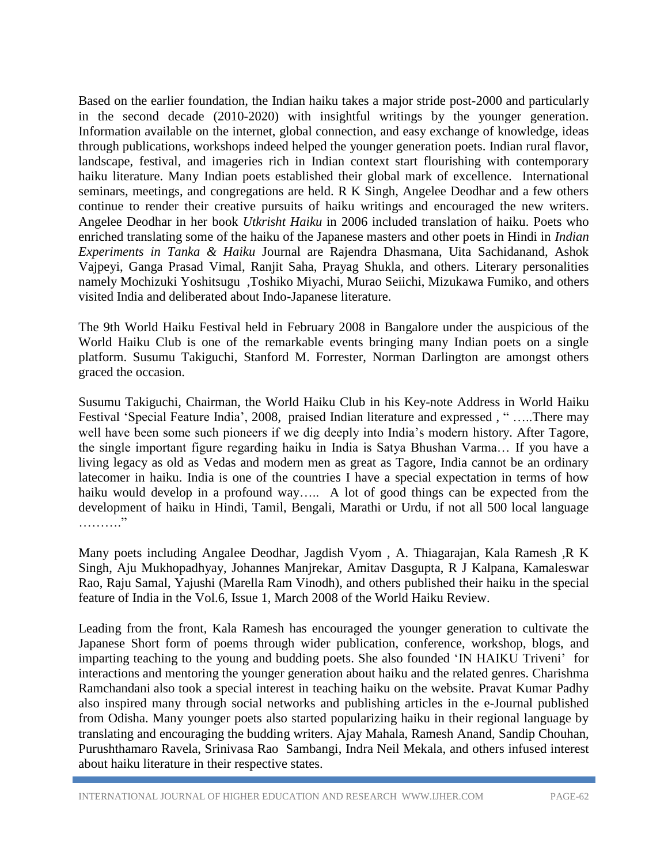Based on the earlier foundation, the Indian haiku takes a major stride post-2000 and particularly in the second decade (2010-2020) with insightful writings by the younger generation. Information available on the internet, global connection, and easy exchange of knowledge, ideas through publications, workshops indeed helped the younger generation poets. Indian rural flavor, landscape, festival, and imageries rich in Indian context start flourishing with contemporary haiku literature. Many Indian poets established their global mark of excellence. International seminars, meetings, and congregations are held. R K Singh, Angelee Deodhar and a few others continue to render their creative pursuits of haiku writings and encouraged the new writers. Angelee Deodhar in her book *Utkrisht Haiku* in 2006 included translation of haiku. Poets who enriched translating some of the haiku of the Japanese masters and other poets in Hindi in *Indian Experiments in Tanka & Haiku* Journal are Rajendra Dhasmana, Uita Sachidanand, Ashok Vajpeyi, Ganga Prasad Vimal, Ranjit Saha, Prayag Shukla, and others. Literary personalities namely Mochizuki Yoshitsugu ,Toshiko Miyachi, Murao Seiichi, Mizukawa Fumiko, and others visited India and deliberated about Indo-Japanese literature.

The 9th World Haiku Festival held in February 2008 in Bangalore under the auspicious of the World Haiku Club is one of the remarkable events bringing many Indian poets on a single platform. Susumu Takiguchi, Stanford M. Forrester, Norman Darlington are amongst others graced the occasion.

Susumu Takiguchi, Chairman, the World Haiku Club in his Key-note Address in World Haiku Festival 'Special Feature India', 2008, praised Indian literature and expressed , " …..There may well have been some such pioneers if we dig deeply into India's modern history. After Tagore, the single important figure regarding haiku in India is Satya Bhushan Varma… If you have a living legacy as old as Vedas and modern men as great as Tagore, India cannot be an ordinary latecomer in haiku. India is one of the countries I have a special expectation in terms of how haiku would develop in a profound way..... A lot of good things can be expected from the development of haiku in Hindi, Tamil, Bengali, Marathi or Urdu, if not all 500 local language …………

Many poets including Angalee Deodhar, Jagdish Vyom , A. Thiagarajan, Kala Ramesh ,R K Singh, Aju Mukhopadhyay, Johannes Manjrekar, Amitav Dasgupta, R J Kalpana, Kamaleswar Rao, Raju Samal, Yajushi (Marella Ram Vinodh), and others published their haiku in the special feature of India in the Vol.6, Issue 1, March 2008 of the World Haiku Review.

Leading from the front, Kala Ramesh has encouraged the younger generation to cultivate the Japanese Short form of poems through wider publication, conference, workshop, blogs, and imparting teaching to the young and budding poets. She also founded 'IN HAIKU Triveni' for interactions and mentoring the younger generation about haiku and the related genres. Charishma Ramchandani also took a special interest in teaching haiku on the website. Pravat Kumar Padhy also inspired many through social networks and publishing articles in the e-Journal published from Odisha. Many younger poets also started popularizing haiku in their regional language by translating and encouraging the budding writers. Ajay Mahala, Ramesh Anand, Sandip Chouhan, Purushthamaro Ravela, Srinivasa Rao Sambangi, Indra Neil Mekala, and others infused interest about haiku literature in their respective states.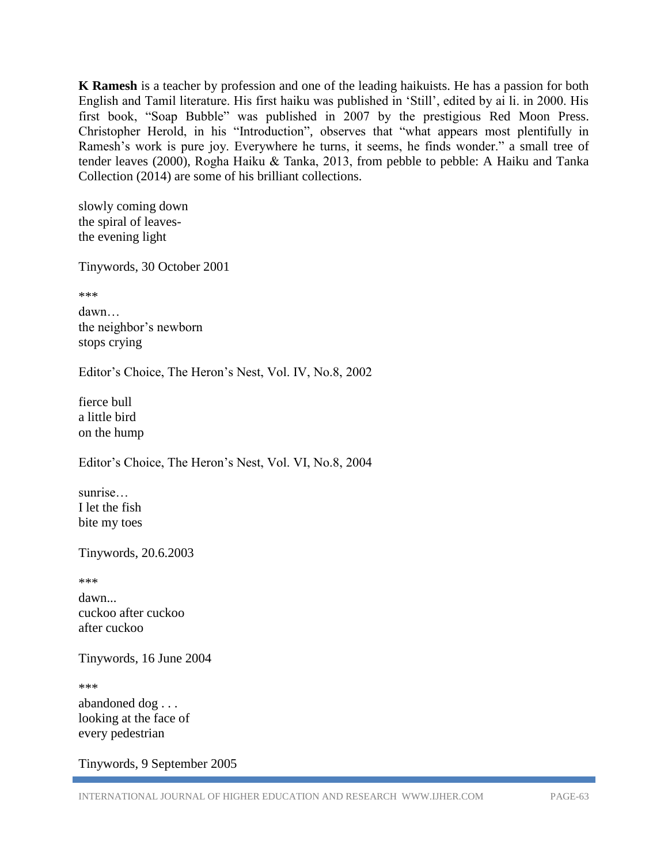**K Ramesh** is a teacher by profession and one of the leading haikuists. He has a passion for both English and Tamil literature. His first haiku was published in 'Still', edited by ai li. in 2000. His first book, "Soap Bubble" was published in 2007 by the prestigious Red Moon Press. Christopher Herold, in his "Introduction", observes that "what appears most plentifully in Ramesh's work is pure joy. Everywhere he turns, it seems, he finds wonder." a [small](https://www.amazon.in/Small-Tree-Tender-Leaves-ebook/dp/B08CDJL1YN) tree of tender [leaves](https://www.amazon.in/Small-Tree-Tender-Leaves-ebook/dp/B08CDJL1YN) (2000), Rogha Haiku & Tanka, 2013, from pebble to pebble: A Haiku and Tanka Collection (2014) are some of his brilliant collections.

slowly coming down the spiral of leavesthe evening light

Tinywords, 30 October 2001

\*\*\*

dawn… the neighbor's newborn stops crying

Editor's Choice, The Heron's Nest, Vol. IV, No.8, 2002

fierce bull a little bird on the hump

Editor's Choice, The Heron's Nest, Vol. VI, No.8, 2004

sunrise… I let the fish bite my toes

Tinywords, 20.6.2003

\*\*\*

dawn... cuckoo after cuckoo after cuckoo

Tinywords, 16 June 2004

\*\*\*

abandoned dog . . . looking at the face of every pedestrian

Tinywords, 9 September 2005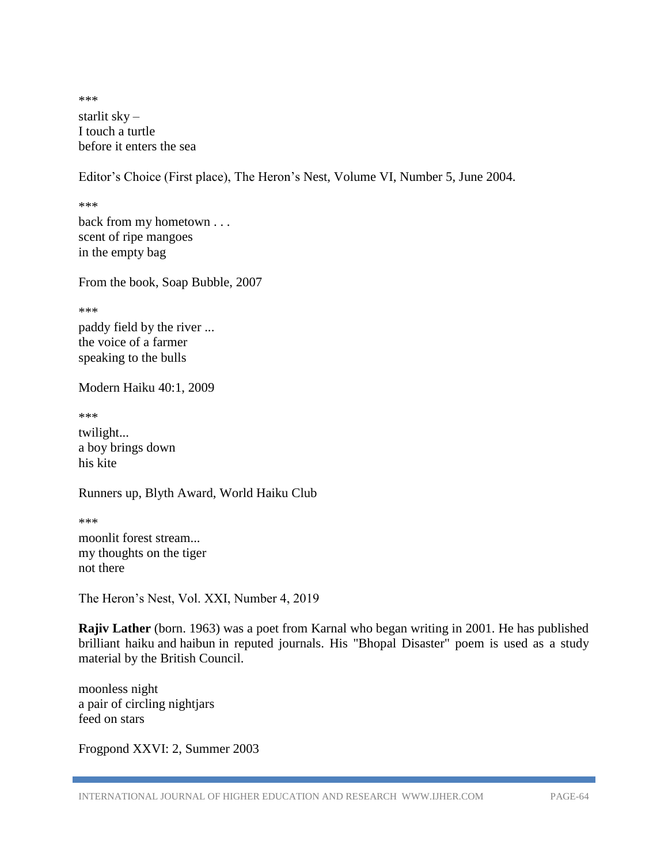\*\*\* starlit sky – I touch a turtle before it enters the sea

Editor's Choice (First place), The Heron's Nest, Volume VI, Number 5, June 2004.

\*\*\* back from my hometown . . . scent of ripe mangoes in the empty bag

From the book, Soap Bubble, 2007

\*\*\*

paddy field by the river ... the voice of a farmer speaking to the bulls

Modern Haiku 40:1, 2009

\*\*\*

twilight... a boy brings down his kite

Runners up, Blyth Award, World Haiku Club

\*\*\* moonlit forest stream... my thoughts on the tiger not there

The Heron's Nest, Vol. XXI, Number 4, 2019

**Rajiv Lather** (born. 1963) was a poet from Karnal who began writing in 2001. He has published brilliant haiku and haibun in reputed journals. His "Bhopal Disaster" poem is used as a study material by the British Council.

moonless night a pair of circling nightjars feed on stars

Frogpond XXVI: 2, Summer 2003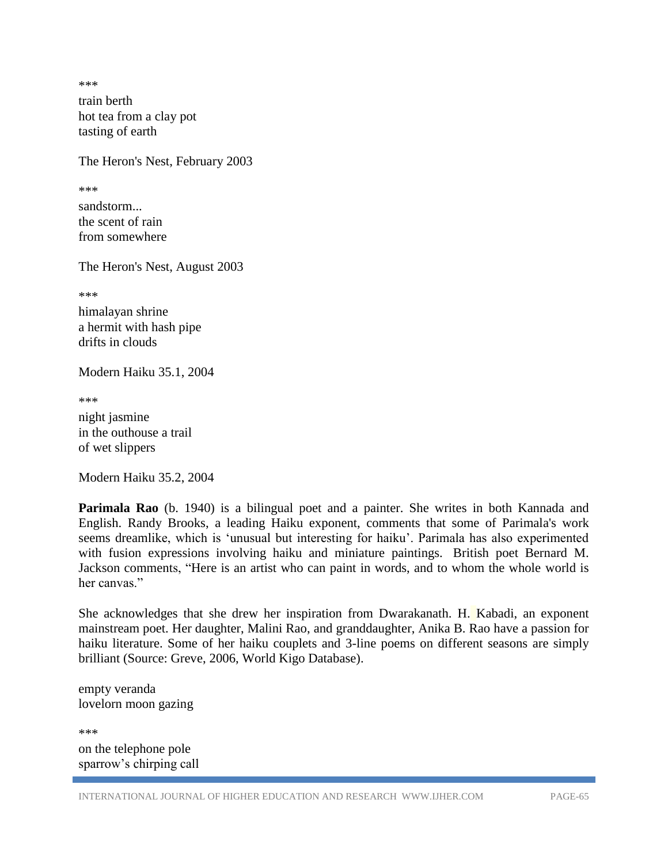\*\*\*

train berth hot tea from a clay pot tasting of earth

The Heron's Nest, February 2003

\*\*\*

sandstorm... the scent of rain from somewhere

The Heron's Nest, August 2003

\*\*\*

himalayan shrine a hermit with hash pipe drifts in clouds

Modern Haiku 35.1, 2004

\*\*\* night jasmine in the outhouse a trail of wet slippers

Modern Haiku 35.2, 2004

**Parimala Rao** (b. 1940) is a bilingual poet and a painter. She writes in both Kannada and English. Randy Brooks, a leading Haiku exponent, comments that some of Parimala's work seems dreamlike, which is 'unusual but interesting for haiku'. Parimala has also experimented with fusion expressions involving haiku and miniature paintings. British poet Bernard M. Jackson comments, "Here is an artist who can paint in words, and to whom the whole world is her canvas."

She acknowledges that she drew her inspiration from Dwarakanath. H. Kabadi, an exponent mainstream poet. Her daughter, Malini Rao, and granddaughter, Anika B. Rao have a passion for haiku literature. Some of her haiku couplets and 3-line poems on different seasons are simply brilliant (Source: Greve, 2006, World Kigo Database).

empty veranda lovelorn moon gazing

\*\*\* on the telephone pole sparrow's chirping call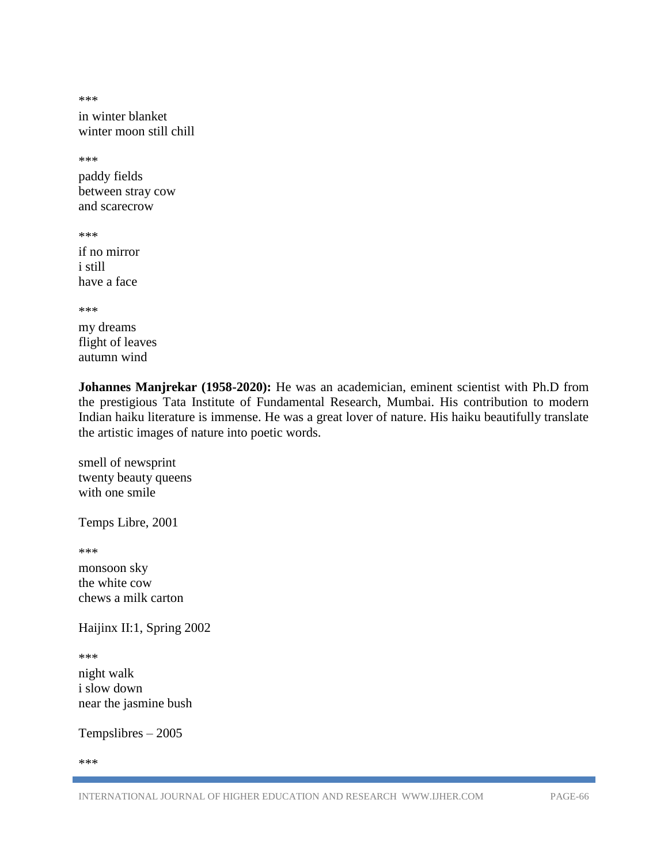\*\*\*

in winter blanket winter moon still chill

\*\*\*

paddy fields between stray cow and scarecrow

\*\*\*

if no mirror i still have a face

\*\*\*

my dreams flight of leaves autumn wind

**Johannes Manjrekar (1958-2020):** He was an academician, eminent scientist with Ph.D from the prestigious Tata Institute of Fundamental Research, Mumbai. His contribution to modern Indian haiku literature is immense. He was a great lover of nature. His haiku beautifully translate the artistic images of nature into poetic words.

smell of newsprint twenty beauty queens with one smile

Temps Libre, 2001

\*\*\*

monsoon sky the white cow chews a milk carton

Haijinx II:1, Spring 2002

\*\*\*

night walk i slow down near the jasmine bush

Tempslibres – 2005

\*\*\*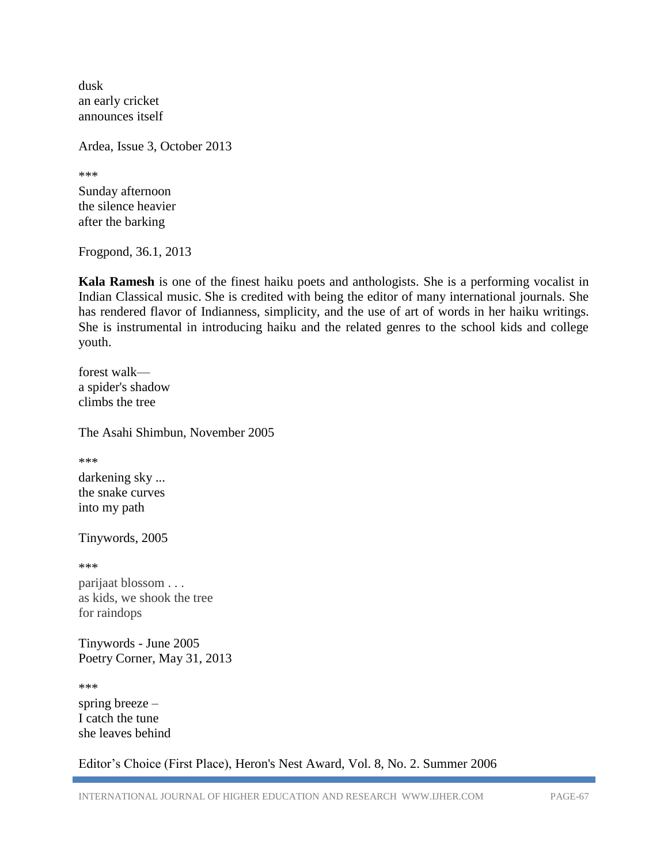dusk an early cricket announces itself

Ardea, Issue 3, October 2013

\*\*\*

Sunday afternoon the silence heavier after the barking

Frogpond, 36.1, 2013

**Kala Ramesh** is one of the finest haiku poets and anthologists. She is a performing vocalist in Indian Classical music. She is credited with being the editor of many international journals. She has rendered flavor of Indianness, simplicity, and the use of art of words in her haiku writings. She is instrumental in introducing haiku and the related genres to the school kids and college youth.

forest walk a spider's shadow climbs the tree

The Asahi Shimbun, November 2005

\*\*\*

darkening sky ... the snake curves into my path

Tinywords, 2005

\*\*\*

parijaat blossom . . . as kids, we shook the tree for raindops

Tinywords *-* June 2005 Poetry Corner, May 31, 2013

\*\*\*

spring breeze – I catch the tune she leaves behind

Editor's Choice (First Place), Heron's Nest Award, Vol. 8, No. 2. Summer 2006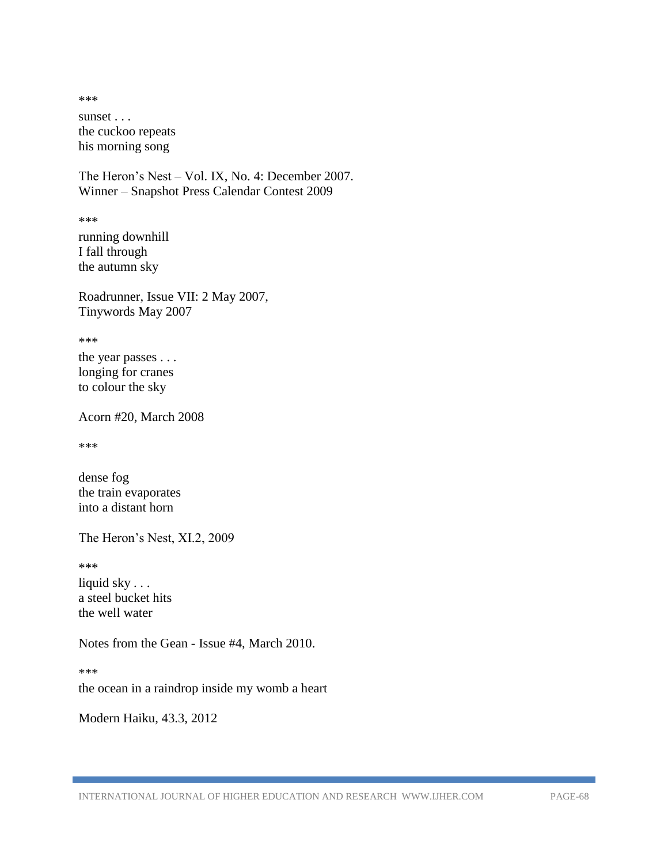\*\*\* sunset . . . the cuckoo repeats his morning song

The Heron's Nest – Vol. IX, No. 4: December 2007. Winner – Snapshot Press Calendar Contest 2009

\*\*\*

running downhill I fall through the autumn sky

Roadrunner, Issue VII: 2 May 2007, Tinywords May 2007

\*\*\*

the year passes . . . longing for cranes to colour the sky

Acorn #20, March 2008

\*\*\*

dense fog the train evaporates into a distant horn

The Heron's Nest, XI.2, 2009

\*\*\*

liquid sky . . . a steel bucket hits the well water

Notes from the Gean - Issue #4, March 2010.

\*\*\*

the ocean in a raindrop inside my womb a heart

Modern Haiku, 43.3, 2012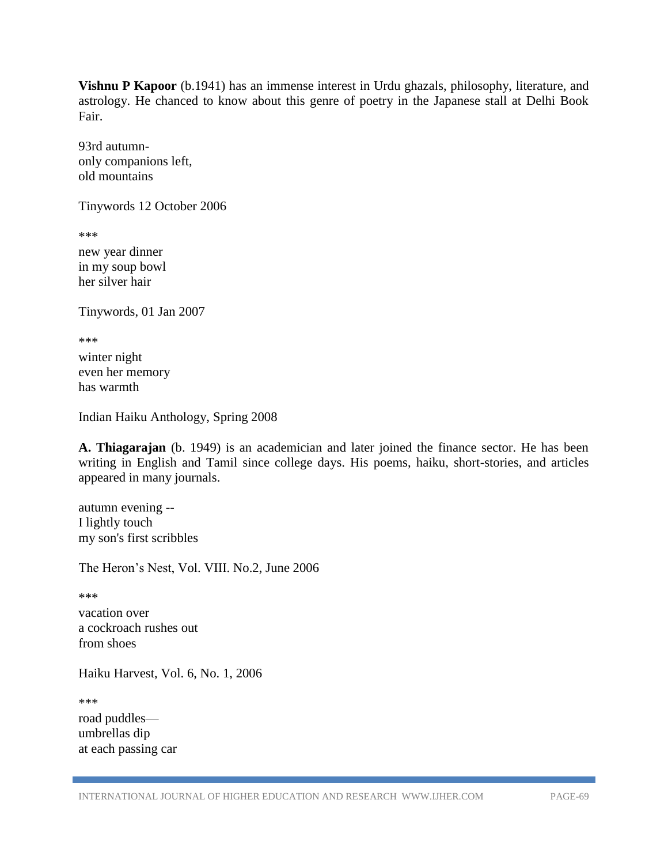**Vishnu P Kapoor** (b.1941) has an immense interest in Urdu ghazals, philosophy, literature, and astrology. He chanced to know about this genre of poetry in the Japanese stall at Delhi Book Fair.

93rd autumnonly companions left, old mountains

Tinywords 12 October 2006

\*\*\*

new year dinner in my soup bowl her silver hair

Tinywords, 01 Jan 2007

\*\*\*

winter night even her memory has warmth

Indian Haiku Anthology, Spring 2008

**A. Thiagarajan** (b. 1949) is an academician and later joined the finance sector. He has been writing in English and Tamil since college days. His poems, haiku, short-stories, and articles appeared in many journals.

autumn evening -- I lightly touch my son's first scribbles

The Heron's Nest, Vol. VIII. No.2, June 2006

\*\*\*

vacation over a cockroach rushes out from shoes

Haiku Harvest, Vol. 6, No. 1, 2006

\*\*\*

road puddles umbrellas dip at each passing car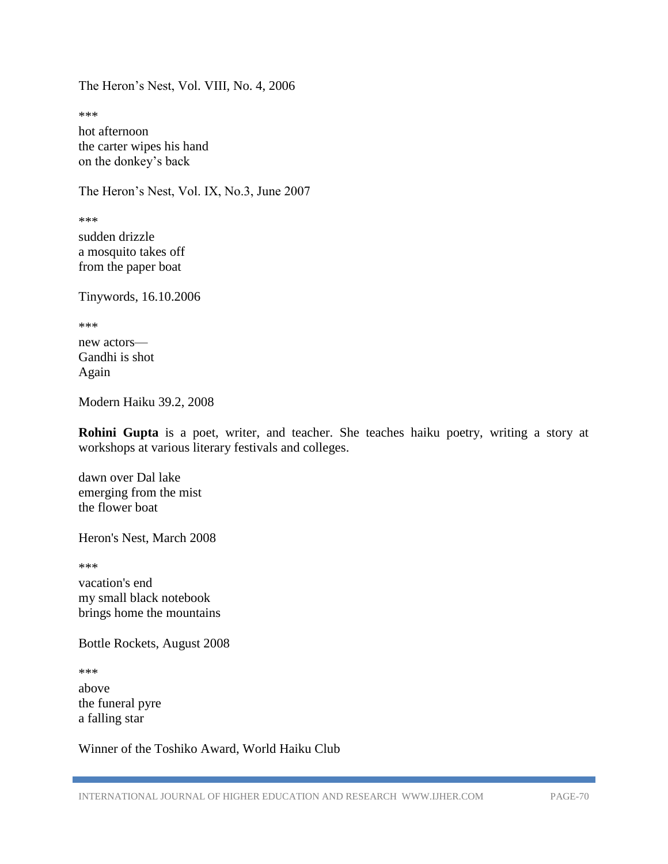The Heron's Nest, Vol. VIII, No. 4, 2006

\*\*\*

hot afternoon the carter wipes his hand on the donkey's back

The Heron's Nest, Vol. IX, No.3, June 2007

\*\*\*

sudden drizzle a mosquito takes off from the paper boat

Tinywords, 16.10.2006

\*\*\*

new actors— Gandhi is shot Again

Modern Haiku 39.2, 2008

**Rohini Gupta** is a poet, writer, and teacher. She teaches haiku poetry, writing a story at workshops at various literary festivals and colleges.

dawn over Dal lake emerging from the mist the flower boat

Heron's Nest, March 2008

\*\*\*

vacation's end my small black notebook brings home the mountains

Bottle Rockets, August 2008

\*\*\*

above the funeral pyre a falling star

Winner of the Toshiko Award, World Haiku Club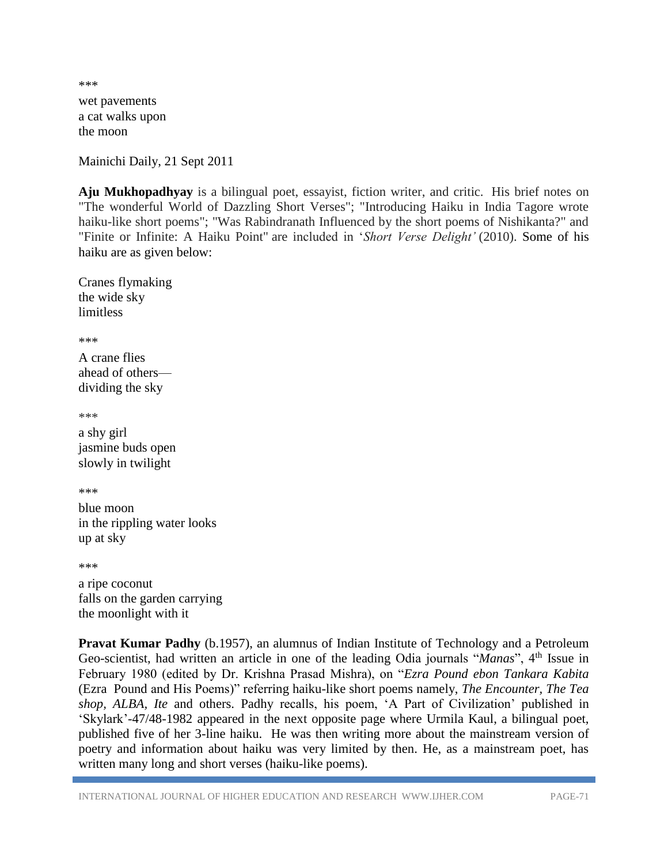wet pavements a cat walks upon the moon

\*\*\*

Mainichi Daily, 21 Sept 2011

**Aju Mukhopadhyay** is a bilingual poet, essayist, fiction writer, and critic. His brief notes on "The wonderful World of Dazzling Short Verses"; "Introducing Haiku in India Tagore wrote haiku-like short poems"; "Was Rabindranath Influenced by the short poems of Nishikanta?" and "Finite or Infinite: A Haiku Point" are included in '*Short Verse Delight'* (2010). Some of his haiku are as given below:

Cranes flymaking the wide sky limitless

\*\*\*

A crane flies ahead of others dividing the sky

\*\*\*

a shy girl jasmine buds open slowly in twilight

\*\*\*

blue moon in the rippling water looks up at sky

\*\*\*

a ripe coconut falls on the garden carrying the moonlight with it

**Pravat Kumar Padhy** (b.1957), an alumnus of Indian Institute of Technology and a Petroleum Geo-scientist, had written an article in one of the leading Odia journals "*Manas*", 4<sup>th</sup> Issue in February 1980 (edited by Dr. Krishna Prasad Mishra), on "*Ezra Pound ebon Tankara Kabita* (Ezra Pound and His Poems)" referring haiku-like short poems namely, *The Encounter, The Tea shop, ALBA, Ite* and others. Padhy recalls, his poem, 'A Part of Civilization' published in 'Skylark'-47/48-1982 appeared in the next opposite page where Urmila Kaul, a bilingual poet, published five of her 3-line haiku. He was then writing more about the mainstream version of poetry and information about haiku was very limited by then. He, as a mainstream poet, has written many long and short verses (haiku-like poems).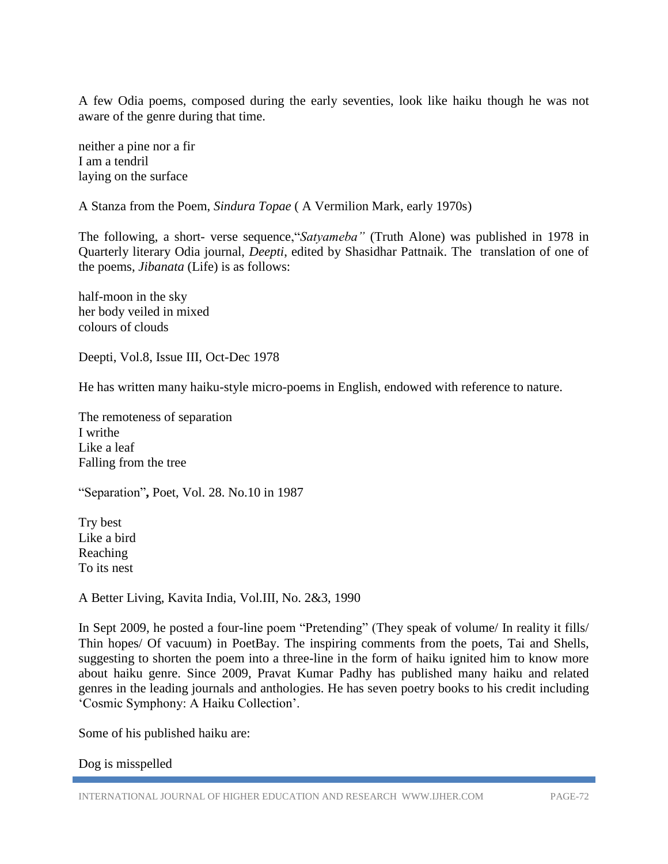A few Odia poems, composed during the early seventies, look like haiku though he was not aware of the genre during that time.

neither a pine nor a fir I am a tendril laying on the surface

A Stanza from the Poem, *Sindura Topae* ( A Vermilion Mark, early 1970s)

The following, a short- verse sequence,"*Satyameba"* (Truth Alone) was published in 1978 in Quarterly literary Odia journal, *Deepti*, edited by Shasidhar Pattnaik. The translation of one of the poems, *Jibanata* (Life) is as follows:

half-moon in the sky her body veiled in mixed colours of clouds

Deepti, Vol.8, Issue III, Oct-Dec 1978

He has written many haiku-style micro-poems in English, endowed with reference to nature.

The remoteness of separation I writhe Like a leaf Falling from the tree

"Separation"**,** Poet, Vol. 28. No.10 in 1987

Try best Like a bird Reaching To its nest

A Better Living, Kavita India, Vol.III, No. 2&3, 1990

In Sept 2009, he posted a four-line poem "Pretending" (They speak of volume/ In reality it fills/ Thin hopes/ Of vacuum) in PoetBay. The inspiring comments from the poets, Tai and Shells, suggesting to shorten the poem into a three-line in the form of haiku ignited him to know more about haiku genre. Since 2009, Pravat Kumar Padhy has published many haiku and related genres in the leading journals and anthologies. He has seven poetry books to his credit including 'Cosmic Symphony: A Haiku Collection'.

Some of his published haiku are:

Dog is misspelled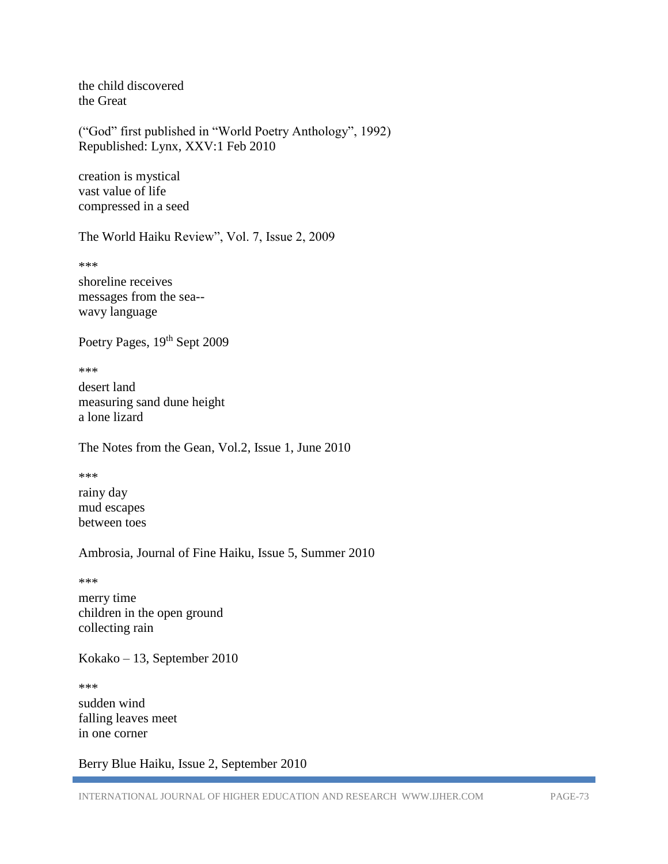the child discovered the Great

("God" first published in "World Poetry Anthology", 1992) Republished: Lynx, XXV:1 Feb 2010

creation is mystical vast value of life compressed in a seed

The World Haiku Review", Vol. 7, Issue 2, 2009

\*\*\*

shoreline receives messages from the sea- wavy language

Poetry Pages, 19<sup>th</sup> Sept 2009

\*\*\*

desert land measuring sand dune height a lone lizard

The Notes from the Gean, Vol.2, Issue 1, June 2010

\*\*\* rainy day mud escapes between toes

Ambrosia, Journal of Fine Haiku, Issue 5, Summer 2010

\*\*\*

merry time children in the open ground collecting rain

Kokako – 13, September 2010

\*\*\* sudden wind falling leaves meet in one corner

Berry Blue Haiku, Issue 2, September 2010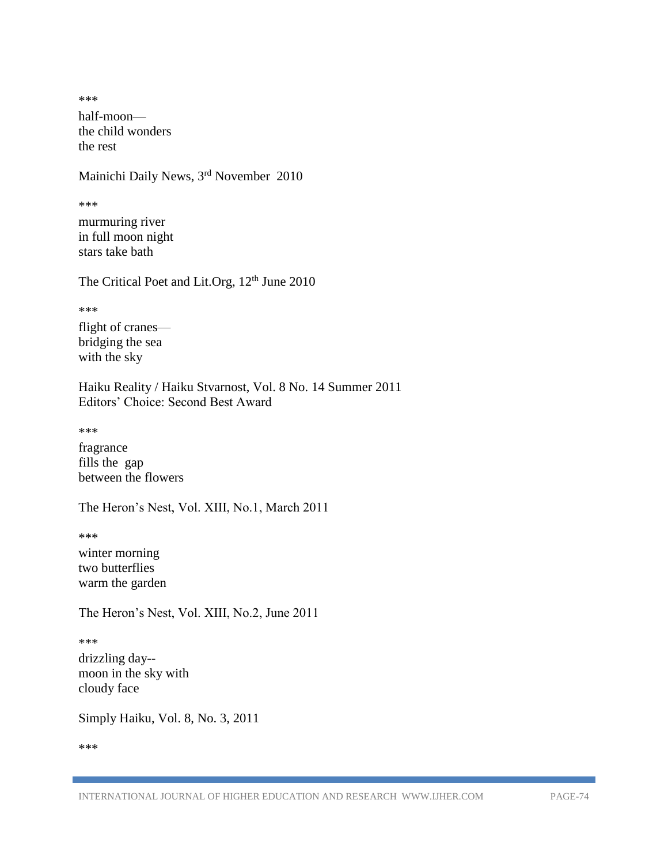\*\*\* half-moon the child wonders the rest

Mainichi Daily News, 3rd November 2010

\*\*\*

murmuring river in full moon night stars take bath

The Critical Poet and Lit.Org, 12<sup>th</sup> June 2010

\*\*\*

flight of cranes bridging the sea with the sky

Haiku Reality / Haiku Stvarnost, Vol. 8 No. 14 Summer 2011 Editors' Choice: Second Best Award

\*\*\*

fragrance fills the gap between the flowers

The Heron's Nest, Vol. XIII, No.1, March 2011

\*\*\*

winter morning two butterflies warm the garden

The Heron's Nest, Vol. XIII, No.2, June 2011

\*\*\*

drizzling day- moon in the sky with cloudy face

Simply Haiku, Vol. 8, No. 3, 2011

\*\*\*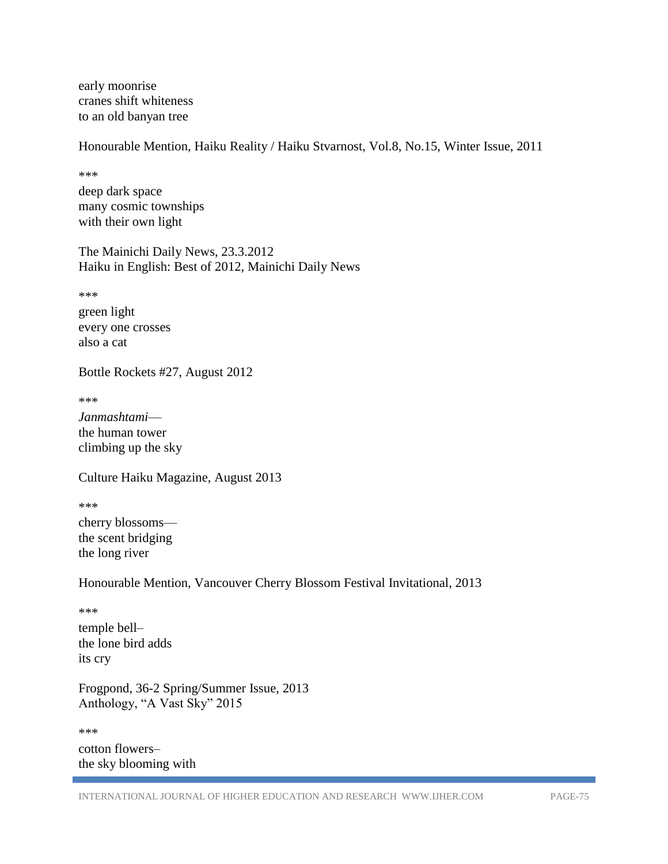early moonrise cranes shift whiteness to an old banyan tree

Honourable Mention, Haiku Reality / Haiku Stvarnost, Vol.8, No.15, Winter Issue, 2011

\*\*\*

deep dark space many cosmic townships with their own light

The Mainichi Daily News, 23.3.2012 Haiku in English: Best of 2012, Mainichi Daily News

\*\*\*

green light every one crosses also a cat

Bottle Rockets #27, August 2012

\*\*\*

*Janmashtami* the human tower climbing up the sky

Culture Haiku Magazine, August 2013

\*\*\*

cherry blossoms the scent bridging the long river

Honourable Mention, Vancouver Cherry Blossom Festival Invitational, 2013

\*\*\*

temple bell– the lone bird adds its cry

Frogpond, 36-2 Spring/Summer Issue, 2013 Anthology, "A Vast Sky" 2015

\*\*\* cotton flowers– the sky blooming with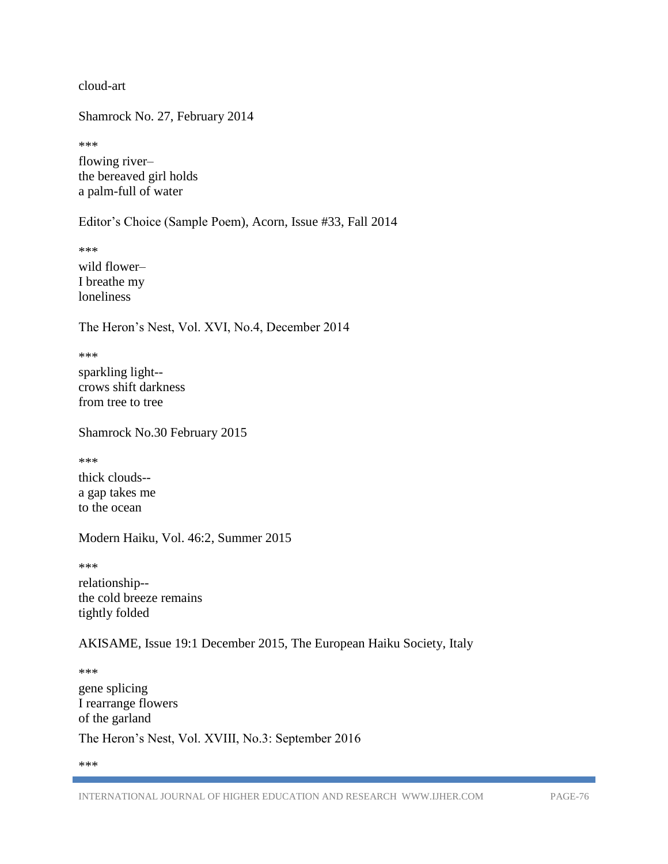cloud-art

Shamrock No. 27, February 2014

\*\*\*

flowing river– the bereaved girl holds a palm-full of water

Editor's Choice (Sample Poem), Acorn, Issue #33, Fall 2014

\*\*\* wild flower– I breathe my loneliness

The Heron's Nest, Vol. XVI, No.4, December 2014

\*\*\* sparkling light- crows shift darkness from tree to tree

Shamrock No.30 February 2015

\*\*\*

thick clouds- a gap takes me to the ocean

Modern Haiku, Vol. 46:2, Summer 2015

\*\*\*

relationship- the cold breeze remains tightly folded

AKISAME, Issue 19:1 December 2015, The European Haiku Society, Italy

\*\*\*

gene splicing I rearrange flowers of the garland The Heron's Nest, Vol. XVIII, No.3: September 2016

\*\*\*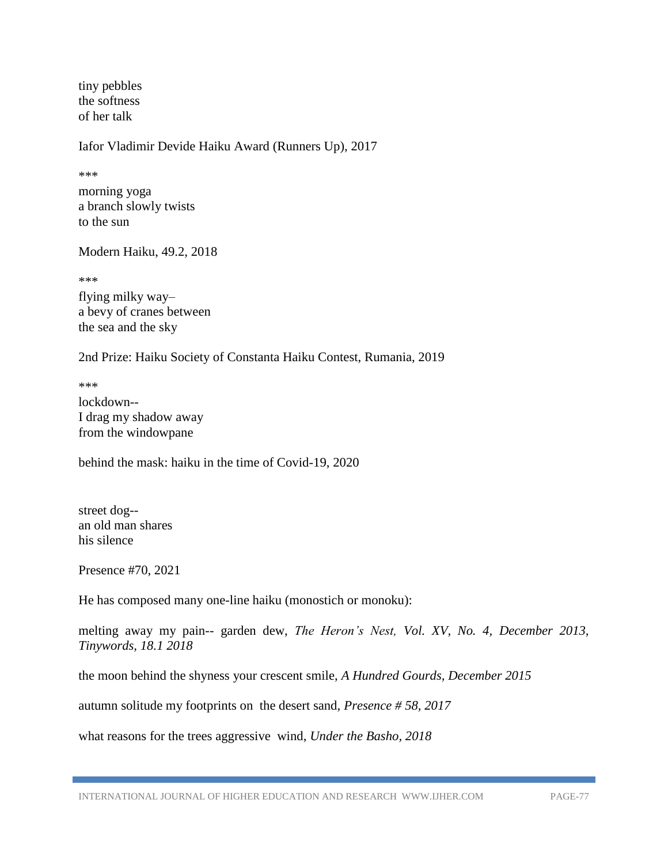tiny pebbles the softness of her talk

Iafor Vladimir Devide Haiku Award (Runners Up), 2017

\*\*\*

morning yoga a branch slowly twists to the sun

Modern Haiku, 49.2, 2018

\*\*\*

flying milky way– a bevy of cranes between the sea and the sky

2nd Prize: Haiku Society of Constanta Haiku Contest, Rumania, 2019

\*\*\*

lockdown-- I drag my shadow away from the windowpane

behind the mask: haiku in the time of Covid-19, 2020

street dog- an old man shares his silence

Presence #70, 2021

He has composed many one-line haiku (monostich or monoku):

melting away my pain-- garden dew, *The Heron's Nest, Vol. XV, No. 4, December 2013, Tinywords, 18.1 2018*

the moon behind the shyness your crescent smile, *A Hundred Gourds, December 2015*

autumn solitude my footprints on the desert sand, *Presence # 58, 2017*

what reasons for the trees aggressive wind, *Under the Basho, 2018*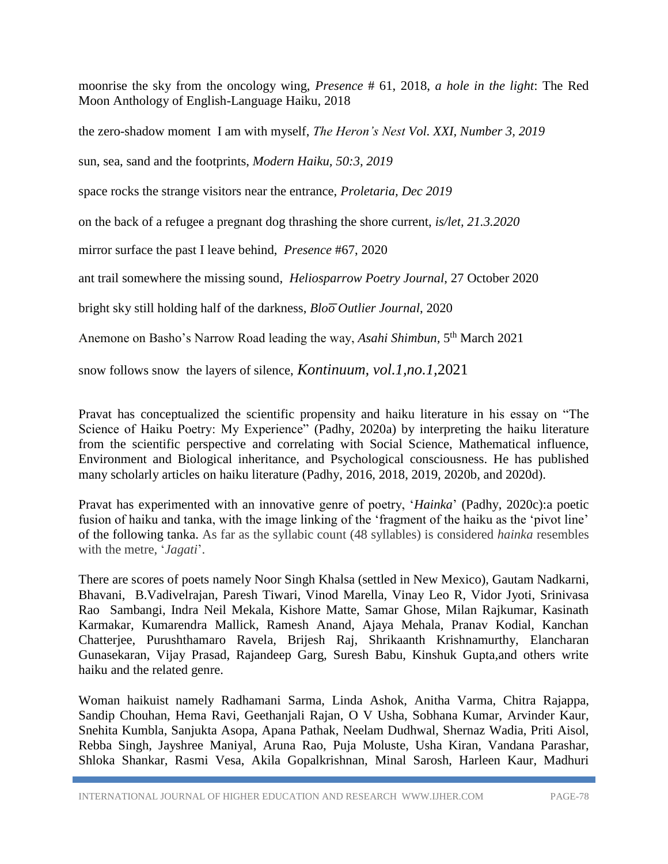moonrise the sky from the oncology wing, *Presence* # 61, 2018, *a hole in the light*: The Red Moon Anthology of English-Language Haiku, 2018

the zero-shadow moment I am with myself, *The Heron's Nest Vol. XXI, Number 3, 2019*

sun, sea, sand and the footprints, *Modern Haiku, 50:3, 2019*

space rocks the strange visitors near the entrance, *Proletaria, Dec 2019*

on the back of a refugee a pregnant dog thrashing the shore current, *is/let, 21.3.2020* 

mirror surface the past I leave behind, *Presence* #67, 2020

ant trail somewhere the missing sound, *Heliosparrow Poetry Journal*, 27 October 2020

bright sky still holding half of the darkness, *Bloo Outlier Journal*, 2020

Anemone on Basho's Narrow Road leading the way, *Asahi Shimbun*, 5<sup>th</sup> March 2021

snow follows snow the layers of silence, *Kontinuum, vol.1,no.1,*2021

Pravat has conceptualized the scientific propensity and haiku literature in his essay on "The Science of Haiku Poetry: My Experience" (Padhy, 2020a) by interpreting the haiku literature from the scientific perspective and correlating with Social Science, Mathematical influence, Environment and Biological inheritance, and Psychological consciousness. He has published many scholarly articles on haiku literature (Padhy, 2016, 2018, 2019, 2020b, and 2020d).

Pravat has experimented with an innovative genre of poetry, '*Hainka*' (Padhy, 2020c):a poetic fusion of haiku and tanka, with the image linking of the 'fragment of the haiku as the 'pivot line' of the following tanka. As far as the syllabic count (48 syllables) is considered *hainka* resembles with the metre, '*Jagati*'.

There are scores of poets namely Noor Singh Khalsa (settled in New Mexico), Gautam Nadkarni, Bhavani, B.Vadivelrajan, Paresh Tiwari, Vinod Marella, Vinay Leo R, Vidor Jyoti, Srinivasa Rao Sambangi, Indra Neil Mekala, Kishore Matte, Samar Ghose, Milan Rajkumar, Kasinath Karmakar, Kumarendra Mallick, Ramesh Anand, Ajaya Mehala, Pranav Kodial, Kanchan Chatterjee, Purushthamaro Ravela, Brijesh Raj, Shrikaanth Krishnamurthy, Elancharan Gunasekaran, Vijay Prasad, Rajandeep Garg, Suresh Babu, Kinshuk Gupta,and others write haiku and the related genre.

Woman haikuist namely Radhamani Sarma, Linda Ashok, Anitha Varma, Chitra Rajappa, Sandip Chouhan, Hema Ravi, Geethanjali Rajan, O V Usha, Sobhana Kumar, Arvinder Kaur, Snehita Kumbla, Sanjukta Asopa, Apana Pathak, Neelam Dudhwal, Shernaz Wadia, Priti Aisol, Rebba Singh, Jayshree Maniyal, Aruna Rao, Puja Moluste, Usha Kiran, Vandana Parashar, Shloka Shankar, Rasmi Vesa, Akila Gopalkrishnan, Minal Sarosh, Harleen Kaur, Madhuri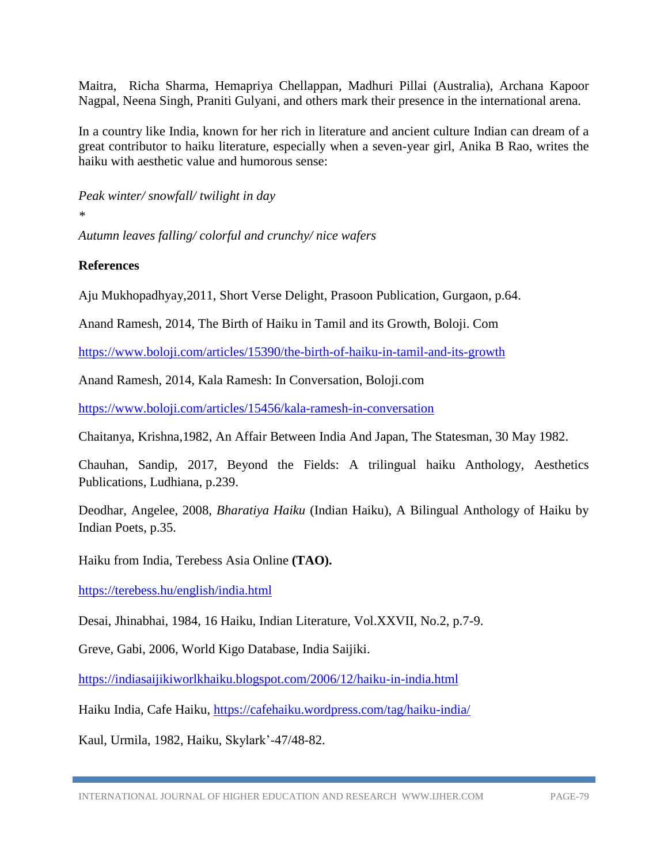Maitra, Richa Sharma, Hemapriya Chellappan, Madhuri Pillai (Australia), Archana Kapoor Nagpal, Neena Singh, Praniti Gulyani, and others mark their presence in the international arena.

In a country like India, known for her rich in literature and ancient culture Indian can dream of a great contributor to haiku literature, especially when a seven-year girl, Anika B Rao, writes the haiku with aesthetic value and humorous sense:

*Peak winter/ snowfall/ twilight in day*

*\**

*Autumn leaves falling/ colorful and crunchy/ nice wafers*

#### **References**

Aju Mukhopadhyay,2011, Short Verse Delight, Prasoon Publication, Gurgaon, p.64.

Anand Ramesh, 2014, The Birth of Haiku in Tamil and its Growth, Boloji. Com

<https://www.boloji.com/articles/15390/the-birth-of-haiku-in-tamil-and-its-growth>

Anand Ramesh, 2014, Kala Ramesh: In Conversation, Boloji.com

<https://www.boloji.com/articles/15456/kala-ramesh-in-conversation>

Chaitanya, Krishna,1982, An Affair Between India And Japan, The Statesman, 30 May 1982.

Chauhan, Sandip, 2017, Beyond the Fields: A trilingual haiku Anthology, Aesthetics Publications, Ludhiana, p.239.

Deodhar, Angelee, 2008, *Bharatiya Haiku* (Indian Haiku), A Bilingual Anthology of Haiku by Indian Poets, p.35.

Haiku from India, Terebess Asia Online **(TAO).**

<https://terebess.hu/english/india.html>

Desai, Jhinabhai, 1984, 16 Haiku, Indian Literature, Vol.XXVII, No.2, p.7-9.

Greve, Gabi, 2006, World Kigo Database, India Saijiki.

<https://indiasaijikiworlkhaiku.blogspot.com/2006/12/haiku-in-india.html>

Haiku India, Cafe Haiku,<https://cafehaiku.wordpress.com/tag/haiku-india/>

Kaul, Urmila, 1982, Haiku, Skylark'-47/48-82.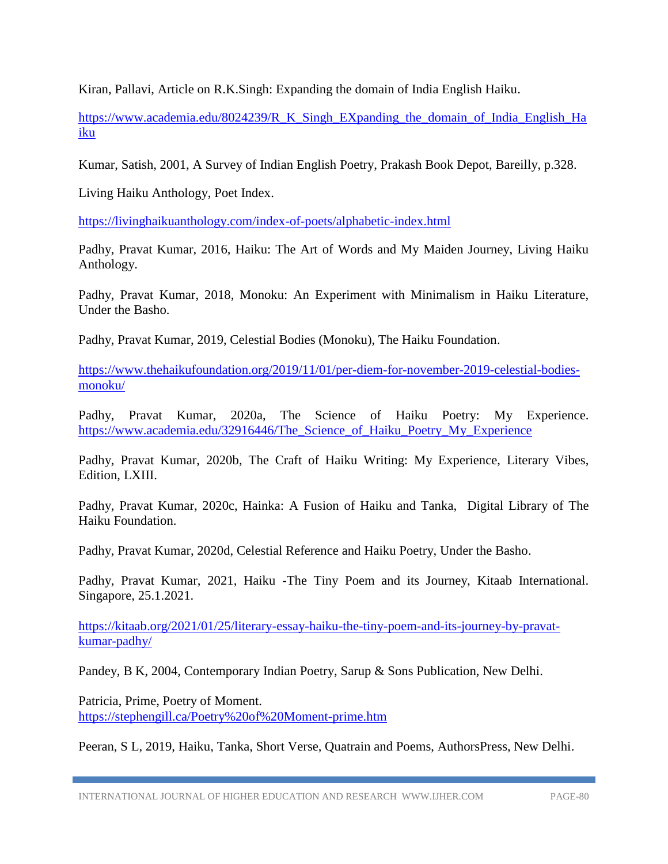Kiran, Pallavi, Article on R.K.Singh: Expanding the domain of India English Haiku.

[https://www.academia.edu/8024239/R\\_K\\_Singh\\_EXpanding\\_the\\_domain\\_of\\_India\\_English\\_Ha](https://www.academia.edu/8024239/R_K_Singh_EXpanding_the_domain_of_India_English_Haiku) [iku](https://www.academia.edu/8024239/R_K_Singh_EXpanding_the_domain_of_India_English_Haiku)

Kumar, Satish, 2001, A Survey of Indian English Poetry, Prakash Book Depot, Bareilly, p.328.

Living Haiku Anthology, Poet Index.

<https://livinghaikuanthology.com/index-of-poets/alphabetic-index.html>

Padhy, Pravat Kumar, 2016, Haiku: The Art of Words and My Maiden Journey, Living Haiku Anthology.

Padhy, Pravat Kumar, 2018, Monoku: An Experiment with Minimalism in Haiku Literature, Under the Basho.

Padhy, Pravat Kumar, 2019, Celestial Bodies (Monoku), The Haiku Foundation.

[https://www.thehaikufoundation.org/2019/11/01/per-diem-for-november-2019-celestial-bodies](https://www.thehaikufoundation.org/2019/11/01/per-diem-for-november-2019-celestial-bodies-monoku/)[monoku/](https://www.thehaikufoundation.org/2019/11/01/per-diem-for-november-2019-celestial-bodies-monoku/)

Padhy, Pravat Kumar, 2020a, The Science of Haiku Poetry: My Experience. https://www.academia.edu/32916446/The Science of Haiku Poetry My Experience

Padhy, Pravat Kumar, 2020b, The Craft of Haiku Writing: My Experience, Literary Vibes, Edition, LXIII.

Padhy, Pravat Kumar, 2020c, Hainka: A Fusion of Haiku and Tanka, Digital Library of The Haiku Foundation.

Padhy, Pravat Kumar, 2020d, Celestial Reference and Haiku Poetry, Under the Basho.

Padhy, Pravat Kumar, 2021, Haiku -The Tiny Poem and its Journey, Kitaab International. Singapore, 25.1.2021.

[https://kitaab.org/2021/01/25/literary-essay-haiku-the-tiny-poem-and-its-journey-by-pravat](https://kitaab.org/2021/01/25/literary-essay-haiku-the-tiny-poem-and-its-journey-by-pravat-kumar-padhy/)[kumar-padhy/](https://kitaab.org/2021/01/25/literary-essay-haiku-the-tiny-poem-and-its-journey-by-pravat-kumar-padhy/)

Pandey, B K, 2004, Contemporary Indian Poetry, Sarup & Sons Publication, New Delhi.

Patricia, Prime, Poetry of Moment. <https://stephengill.ca/Poetry%20of%20Moment-prime.htm>

Peeran, S L, 2019, Haiku, Tanka, Short Verse, Quatrain and Poems, AuthorsPress, New Delhi.